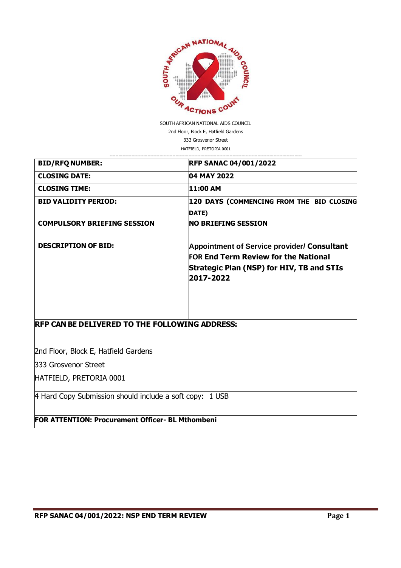

SOUTH AFRICAN NATIONAL AIDS COUNCIL 2nd Floor, Block E, Hatfield Gardens 333 Grosvenor Street HATFIELD, PRETORIA 0001

| <b>BID/RFQ NUMBER:</b>                                   | <b>RFP SANAC 04/001/2022</b>                           |
|----------------------------------------------------------|--------------------------------------------------------|
| <b>CLOSING DATE:</b>                                     | 04 MAY 2022                                            |
| <b>CLOSING TIME:</b>                                     | 11:00 AM                                               |
| <b>BID VALIDITY PERIOD:</b>                              | 120 DAYS (COMMENCING FROM THE BID CLOSING              |
|                                                          | DATE)                                                  |
| <b>COMPULSORY BRIEFING SESSION</b>                       | <b>NO BRIEFING SESSION</b>                             |
| <b>DESCRIPTION OF BID:</b>                               | <b>Appointment of Service provider/ Consultant</b>     |
|                                                          | <b>FOR End Term Review for the National</b>            |
|                                                          | Strategic Plan (NSP) for HIV, TB and STIs<br>2017-2022 |
|                                                          |                                                        |
|                                                          |                                                        |
| <b>RFP CAN BE DELIVERED TO THE FOLLOWING ADDRESS:</b>    |                                                        |
|                                                          |                                                        |
| 2nd Floor, Block E, Hatfield Gardens                     |                                                        |
| 333 Grosvenor Street                                     |                                                        |
| HATFIELD, PRETORIA 0001                                  |                                                        |
| 4 Hard Copy Submission should include a soft copy: 1 USB |                                                        |

**FOR ATTENTION: Procurement Officer- BL Mthombeni**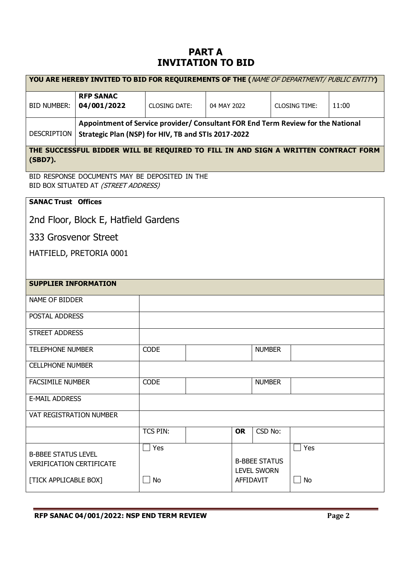# **PART A INVITATION TO BID**

|                                                                                               | YOU ARE HEREBY INVITED TO BID FOR REQUIREMENTS OF THE (NAME OF DEPARTMENT/ PUBLIC ENTITY)                                               |                      |             |                                                         |                      |       |  |
|-----------------------------------------------------------------------------------------------|-----------------------------------------------------------------------------------------------------------------------------------------|----------------------|-------------|---------------------------------------------------------|----------------------|-------|--|
| <b>BID NUMBER:</b>                                                                            | <b>RFP SANAC</b><br>04/001/2022                                                                                                         | <b>CLOSING DATE:</b> | 04 MAY 2022 |                                                         | <b>CLOSING TIME:</b> | 11:00 |  |
| <b>DESCRIPTION</b>                                                                            | Appointment of Service provider/ Consultant FOR End Term Review for the National<br>Strategic Plan (NSP) for HIV, TB and STIs 2017-2022 |                      |             |                                                         |                      |       |  |
| (SBD7).                                                                                       | THE SUCCESSFUL BIDDER WILL BE REQUIRED TO FILL IN AND SIGN A WRITTEN CONTRACT FORM                                                      |                      |             |                                                         |                      |       |  |
|                                                                                               | BID RESPONSE DOCUMENTS MAY BE DEPOSITED IN THE<br>BID BOX SITUATED AT (STREET ADDRESS)                                                  |                      |             |                                                         |                      |       |  |
| <b>SANAC Trust Offices</b>                                                                    |                                                                                                                                         |                      |             |                                                         |                      |       |  |
|                                                                                               | 2nd Floor, Block E, Hatfield Gardens                                                                                                    |                      |             |                                                         |                      |       |  |
| 333 Grosvenor Street                                                                          |                                                                                                                                         |                      |             |                                                         |                      |       |  |
|                                                                                               | HATFIELD, PRETORIA 0001                                                                                                                 |                      |             |                                                         |                      |       |  |
|                                                                                               |                                                                                                                                         |                      |             |                                                         |                      |       |  |
| <b>SUPPLIER INFORMATION</b>                                                                   |                                                                                                                                         |                      |             |                                                         |                      |       |  |
| NAME OF BIDDER                                                                                |                                                                                                                                         |                      |             |                                                         |                      |       |  |
| POSTAL ADDRESS                                                                                |                                                                                                                                         |                      |             |                                                         |                      |       |  |
| <b>STREET ADDRESS</b>                                                                         |                                                                                                                                         |                      |             |                                                         |                      |       |  |
| <b>TELEPHONE NUMBER</b>                                                                       |                                                                                                                                         | <b>CODE</b>          |             | <b>NUMBER</b>                                           |                      |       |  |
| <b>CELLPHONE NUMBER</b>                                                                       |                                                                                                                                         |                      |             |                                                         |                      |       |  |
| <b>FACSIMILE NUMBER</b>                                                                       |                                                                                                                                         | <b>CODE</b>          |             | <b>NUMBER</b>                                           |                      |       |  |
| <b>E-MAIL ADDRESS</b>                                                                         |                                                                                                                                         |                      |             |                                                         |                      |       |  |
| VAT REGISTRATION NUMBER                                                                       |                                                                                                                                         |                      |             |                                                         |                      |       |  |
|                                                                                               |                                                                                                                                         | <b>TCS PIN:</b>      |             | CSD No:<br><b>OR</b>                                    |                      |       |  |
| <b>B-BBEE STATUS LEVEL</b><br><b>VERIFICATION CERTIFICATE</b><br><b>[TICK APPLICABLE BOX]</b> |                                                                                                                                         | Yes<br>No            |             | <b>B-BBEE STATUS</b><br><b>LEVEL SWORN</b><br>AFFIDAVIT | Yes<br>No            |       |  |
|                                                                                               |                                                                                                                                         |                      |             |                                                         |                      |       |  |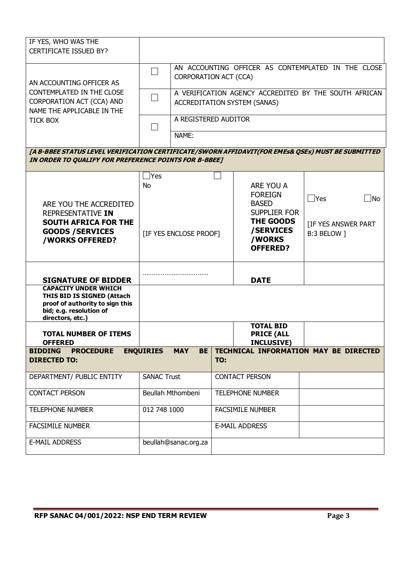| IF YES, WHO WAS THE<br><b>CERTIFICATE ISSUED BY?</b>                                                                                                       |                               |                                                                             |                       |                                                                                       |                                           |  |
|------------------------------------------------------------------------------------------------------------------------------------------------------------|-------------------------------|-----------------------------------------------------------------------------|-----------------------|---------------------------------------------------------------------------------------|-------------------------------------------|--|
| AN ACCOUNTING OFFICER AS                                                                                                                                   |                               | AN ACCOUNTING OFFICER AS CONTEMPLATED IN THE CLOSE<br>CORPORATION ACT (CCA) |                       |                                                                                       |                                           |  |
| CONTEMPLATED IN THE CLOSE<br>CORPORATION ACT (CCA) AND<br>NAME THE APPLICABLE IN THE                                                                       |                               |                                                                             |                       | A VERIFICATION AGENCY ACCREDITED BY THE SOUTH AFRICAN<br>ACCREDITATION SYSTEM (SANAS) |                                           |  |
| <b>TICK BOX</b>                                                                                                                                            | A REGISTERED AUDITOR<br>NAME: |                                                                             |                       |                                                                                       |                                           |  |
| [A B-BBEE STATUS LEVEL VERIFICATION CERTIFICATE/SWORN AFFIDAVIT(FOR EMES& QSEs) MUST BE SUBMITTED<br>IN ORDER TO QUALIFY FOR PREFERENCE POINTS FOR B-BBEE] |                               |                                                                             |                       |                                                                                       |                                           |  |
|                                                                                                                                                            |                               |                                                                             |                       |                                                                                       |                                           |  |
| ARE YOU THE ACCREDITED                                                                                                                                     | $\sf Yes$<br><b>No</b>        |                                                                             |                       | ARE YOU A<br><b>FOREIGN</b><br><b>BASED</b>                                           | $\bigcap$ Yes<br>∫No                      |  |
| REPRESENTATIVE IN<br><b>SOUTH AFRICA FOR THE</b><br><b>GOODS / SERVICES</b><br><b>/WORKS OFFERED?</b>                                                      | [IF YES ENCLOSE PROOF]        |                                                                             |                       | <b>SUPPLIER FOR</b><br><b>THE GOODS</b><br>/SERVICES<br>/WORKS<br><b>OFFERED?</b>     | <b>[IF YES ANSWER PART</b><br>B:3 BELOW ] |  |
| <b>SIGNATURE OF BIDDER</b>                                                                                                                                 |                               |                                                                             |                       | <b>DATE</b>                                                                           |                                           |  |
| <b>CAPACITY UNDER WHICH</b><br>THIS BID IS SIGNED (Attach<br>proof of authority to sign this<br>bid; e.g. resolution of<br>directors, etc.)                |                               |                                                                             |                       |                                                                                       |                                           |  |
| <b>TOTAL NUMBER OF ITEMS</b><br><b>OFFERED</b>                                                                                                             |                               |                                                                             |                       | <b>TOTAL BID</b><br><b>PRICE (ALL</b><br><b>INCLUSIVE)</b>                            |                                           |  |
| <b>BIDDING</b><br><b>PROCEDURE</b>                                                                                                                         | <b>ENQUIRIES</b>              | <b>MAY</b><br><b>BE</b>                                                     |                       |                                                                                       | TECHNICAL INFORMATION MAY BE DIRECTED     |  |
| <b>DIRECTED TO:</b>                                                                                                                                        |                               |                                                                             | TO:                   |                                                                                       |                                           |  |
| DEPARTMENT/ PUBLIC ENTITY                                                                                                                                  | <b>SANAC Trust</b>            |                                                                             | <b>CONTACT PERSON</b> |                                                                                       |                                           |  |
| <b>CONTACT PERSON</b>                                                                                                                                      | Beullah Mthombeni             |                                                                             |                       | <b>TELEPHONE NUMBER</b>                                                               |                                           |  |
| <b>TELEPHONE NUMBER</b>                                                                                                                                    | 012 748 1000                  |                                                                             |                       | <b>FACSIMILE NUMBER</b>                                                               |                                           |  |
| <b>FACSIMILE NUMBER</b>                                                                                                                                    |                               |                                                                             |                       | <b>E-MAIL ADDRESS</b>                                                                 |                                           |  |
| <b>E-MAIL ADDRESS</b>                                                                                                                                      |                               | beullah@sanac.org.za                                                        |                       |                                                                                       |                                           |  |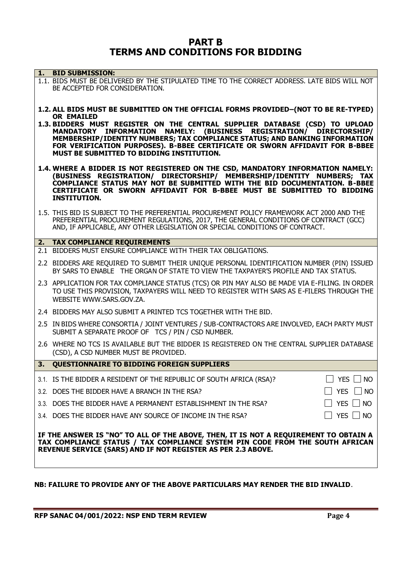# **PART B TERMS AND CONDITIONS FOR BIDDING**

| 1. | <b>BID SUBMISSION:</b>                                                                                                                                                                                                                                                                                                                                                              |               |
|----|-------------------------------------------------------------------------------------------------------------------------------------------------------------------------------------------------------------------------------------------------------------------------------------------------------------------------------------------------------------------------------------|---------------|
|    | 1.1. BIDS MUST BE DELIVERED BY THE STIPULATED TIME TO THE CORRECT ADDRESS. LATE BIDS WILL NOT<br>BE ACCEPTED FOR CONSIDERATION.                                                                                                                                                                                                                                                     |               |
|    | 1.2. ALL BIDS MUST BE SUBMITTED ON THE OFFICIAL FORMS PROVIDED-(NOT TO BE RE-TYPED)                                                                                                                                                                                                                                                                                                 |               |
|    | <b>OR EMAILED</b><br>1.3. BIDDERS MUST REGISTER ON THE CENTRAL SUPPLIER DATABASE (CSD) TO UPLOAD<br>MANDATORY INFORMATION NAMELY: (BUSINESS REGISTRATION/ DIRECTORSHIP/<br>MEMBERSHIP/IDENTITY NUMBERS; TAX COMPLIANCE STATUS; AND BANKING INFORMATION<br>FOR VERIFICATION PURPOSES). B-BBEE CERTIFICATE OR SWORN AFFIDAVIT FOR B-BBEE<br>MUST BE SUBMITTED TO BIDDING INSTITUTION. |               |
|    | 1.4. WHERE A BIDDER IS NOT REGISTERED ON THE CSD, MANDATORY INFORMATION NAMELY:<br>(BUSINESS REGISTRATION/ DIRECTORSHIP/ MEMBERSHIP/IDENTITY NUMBERS; TAX<br>COMPLIANCE STATUS MAY NOT BE SUBMITTED WITH THE BID DOCUMENTATION. B-BBEE<br>CERTIFICATE OR SWORN AFFIDAVIT FOR B-BBEE MUST BE SUBMITTED TO BIDDING<br><b>INSTITUTION.</b>                                             |               |
|    | 1.5. THIS BID IS SUBJECT TO THE PREFERENTIAL PROCUREMENT POLICY FRAMEWORK ACT 2000 AND THE<br>PREFERENTIAL PROCUREMENT REGULATIONS, 2017, THE GENERAL CONDITIONS OF CONTRACT (GCC)<br>AND, IF APPLICABLE, ANY OTHER LEGISLATION OR SPECIAL CONDITIONS OF CONTRACT.                                                                                                                  |               |
|    | 2. TAX COMPLIANCE REQUIREMENTS                                                                                                                                                                                                                                                                                                                                                      |               |
|    | 2.1 BIDDERS MUST ENSURE COMPLIANCE WITH THEIR TAX OBLIGATIONS.                                                                                                                                                                                                                                                                                                                      |               |
|    | 2.2 BIDDERS ARE REQUIRED TO SUBMIT THEIR UNIQUE PERSONAL IDENTIFICATION NUMBER (PIN) ISSUED<br>BY SARS TO ENABLE THE ORGAN OF STATE TO VIEW THE TAXPAYER'S PROFILE AND TAX STATUS.                                                                                                                                                                                                  |               |
|    | 2.3 APPLICATION FOR TAX COMPLIANCE STATUS (TCS) OR PIN MAY ALSO BE MADE VIA E-FILING. IN ORDER<br>TO USE THIS PROVISION, TAXPAYERS WILL NEED TO REGISTER WITH SARS AS E-FILERS THROUGH THE<br>WEBSITE WWW.SARS.GOV.ZA.                                                                                                                                                              |               |
|    | 2.4 BIDDERS MAY ALSO SUBMIT A PRINTED TCS TOGETHER WITH THE BID.                                                                                                                                                                                                                                                                                                                    |               |
|    | 2.5 IN BIDS WHERE CONSORTIA / JOINT VENTURES / SUB-CONTRACTORS ARE INVOLVED, EACH PARTY MUST<br>SUBMIT A SEPARATE PROOF OF TCS / PIN / CSD NUMBER.                                                                                                                                                                                                                                  |               |
|    | 2.6 WHERE NO TCS IS AVAILABLE BUT THE BIDDER IS REGISTERED ON THE CENTRAL SUPPLIER DATABASE<br>(CSD), A CSD NUMBER MUST BE PROVIDED.                                                                                                                                                                                                                                                |               |
| 3. | <b>QUESTIONNAIRE TO BIDDING FOREIGN SUPPLIERS</b>                                                                                                                                                                                                                                                                                                                                   |               |
|    | 3.1. IS THE BIDDER A RESIDENT OF THE REPUBLIC OF SOUTH AFRICA (RSA)?                                                                                                                                                                                                                                                                                                                | YES  <br>  NO |
|    | 3.2. DOES THE BIDDER HAVE A BRANCH IN THE RSA?                                                                                                                                                                                                                                                                                                                                      | YES □ NO      |
|    | 3.3. DOES THE BIDDER HAVE A PERMANENT ESTABLISHMENT IN THE RSA?                                                                                                                                                                                                                                                                                                                     | YES $\Box$ NO |
|    | 3.4. DOES THE BIDDER HAVE ANY SOURCE OF INCOME IN THE RSA?                                                                                                                                                                                                                                                                                                                          | 」YES □ NO     |
|    | IF THE ANSWER IS "NO" TO ALL OF THE ABOVE, THEN, IT IS NOT A REQUIREMENT TO OBTAIN A<br>TAX COMPLIANCE STATUS / TAX COMPLIANCE SYSTEM PIN CODE FROM THE SOUTH AFRICAN<br>REVENUE SERVICE (SARS) AND IF NOT REGISTER AS PER 2.3 ABOVE.                                                                                                                                               |               |

# **NB: FAILURE TO PROVIDE ANY OF THE ABOVE PARTICULARS MAY RENDER THE BID INVALID**.

**RFP SANAC 04/001/2022: NSP END TERM REVIEW Page 4**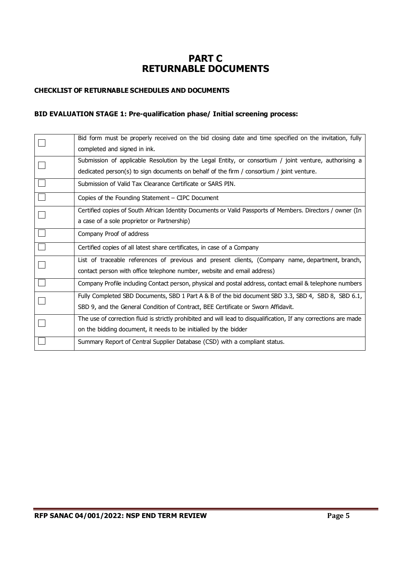# **PART C RETURNABLE DOCUMENTS**

### **CHECKLIST OF RETURNABLE SCHEDULES AND DOCUMENTS**

# **BID EVALUATION STAGE 1: Pre-qualification phase/ Initial screening process:**

| Bid form must be properly received on the bid closing date and time specified on the invitation, fully            |
|-------------------------------------------------------------------------------------------------------------------|
| completed and signed in ink.                                                                                      |
| Submission of applicable Resolution by the Legal Entity, or consortium / joint venture, authorising a             |
| dedicated person(s) to sign documents on behalf of the firm / consortium / joint venture.                         |
| Submission of Valid Tax Clearance Certificate or SARS PIN.                                                        |
| Copies of the Founding Statement - CIPC Document                                                                  |
| Certified copies of South African Identity Documents or Valid Passports of Members. Directors / owner (In         |
| a case of a sole proprietor or Partnership)                                                                       |
| Company Proof of address                                                                                          |
| Certified copies of all latest share certificates, in case of a Company                                           |
| List of traceable references of previous and present clients, (Company name, department, branch,                  |
| contact person with office telephone number, website and email address)                                           |
| Company Profile including Contact person, physical and postal address, contact email & telephone numbers          |
| Fully Completed SBD Documents, SBD 1 Part A & B of the bid document SBD 3.3, SBD 4, SBD 8, SBD 6.1,               |
| SBD 9, and the General Condition of Contract, BEE Certificate or Sworn Affidavit.                                 |
| The use of correction fluid is strictly prohibited and will lead to disqualification, If any corrections are made |
| on the bidding document, it needs to be initialled by the bidder                                                  |
| Summary Report of Central Supplier Database (CSD) with a compliant status.                                        |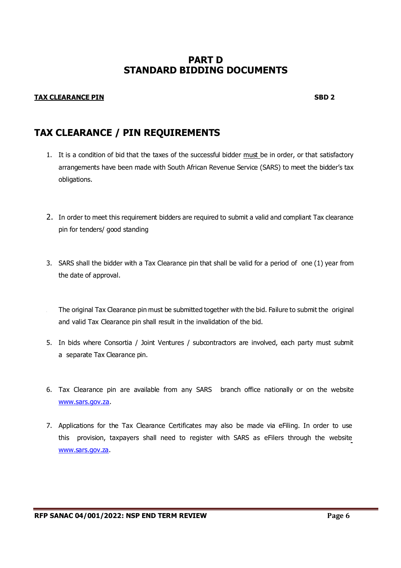# **PART D STANDARD BIDDING DOCUMENTS**

### **TAX CLEARANCE PIN SBD 2**

# **TAX CLEARANCE / PIN REQUIREMENTS**

- 1. It is a condition of bid that the taxes of the successful bidder must be in order, or that satisfactory arrangements have been made with South African Revenue Service (SARS) to meet the bidder's tax obligations.
- 2. In order to meet this requirement bidders are required to submit a valid and compliant Tax clearance pin for tenders/ good standing
- 3. SARS shall the bidder with a Tax Clearance pin that shall be valid for a period of one (1) year from the date of approval.
- The original Tax Clearance pin must be submitted together with the bid. Failure to submit the original and valid Tax Clearance pin shall result in the invalidation of the bid.
- 5. In bids where Consortia / Joint Ventures / subcontractors are involved, each party must submit a separate Tax Clearance pin.
- 6. Tax Clearance pin are available from any SARS branch office nationally or on the website [www.sars.gov.za.](http://www.sars.gov.za/)
- 7. Applications for the Tax Clearance Certificates may also be made via eFiling. In order to use this provision, taxpayers shall need to register with SARS as eFilers through the website [www.sars.gov.za.](http://www.sars.gov.za/)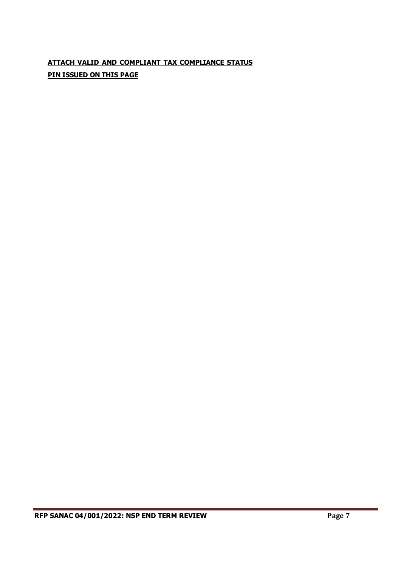# **ATTACH VALID AND COMPLIANT TAX COMPLIANCE STATUS PIN ISSUED ON THIS PAGE**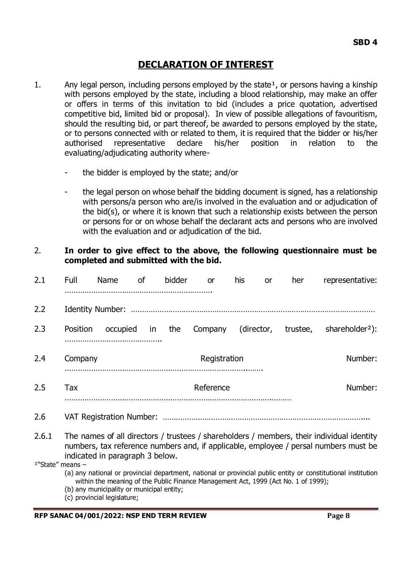# **DECLARATION OF INTEREST**

- 1. Any legal person, including persons employed by the state<sup>1</sup>, or persons having a kinship with persons employed by the state, including a blood relationship, may make an offer or offers in terms of this invitation to bid (includes a price quotation, advertised competitive bid, limited bid or proposal). In view of possible allegations of favouritism, should the resulting bid, or part thereof, be awarded to persons employed by the state, or to persons connected with or related to them, it is required that the bidder or his/her authorised representative declare his/her position in relation to the evaluating/adjudicating authority where-
	- the bidder is employed by the state; and/or
	- the legal person on whose behalf the bidding document is signed, has a relationship with persons/a person who are/is involved in the evaluation and or adjudication of the bid(s), or where it is known that such a relationship exists between the person or persons for or on whose behalf the declarant acts and persons who are involved with the evaluation and or adjudication of the bid.

# 2. **In order to give effect to the above, the following questionnaire must be completed and submitted with the bid.**

| 2.1                | Full                                                                                                                                                                                                                 | Name                    | 0f | bidder | or                                                                                 | his        | <b>or</b> | her      | representative:                                                                                               |
|--------------------|----------------------------------------------------------------------------------------------------------------------------------------------------------------------------------------------------------------------|-------------------------|----|--------|------------------------------------------------------------------------------------|------------|-----------|----------|---------------------------------------------------------------------------------------------------------------|
| 2.2                |                                                                                                                                                                                                                      | <b>Identity Number:</b> |    |        |                                                                                    |            |           |          |                                                                                                               |
| 2.3                | Position                                                                                                                                                                                                             | occupied                | in | the    | Company                                                                            | (director, |           | trustee, | shareholder <sup>2</sup> ):                                                                                   |
| 2.4                | Company                                                                                                                                                                                                              |                         |    |        | Registration                                                                       |            |           |          | Number:                                                                                                       |
| 2.5                | Tax                                                                                                                                                                                                                  |                         |    |        | Reference                                                                          |            |           |          | Number:                                                                                                       |
| 2.6                |                                                                                                                                                                                                                      |                         |    |        |                                                                                    |            |           |          |                                                                                                               |
| 2.6.1              | The names of all directors / trustees / shareholders / members, their individual identity<br>numbers, tax reference numbers and, if applicable, employee / persal numbers must be<br>indicated in paragraph 3 below. |                         |    |        |                                                                                    |            |           |          |                                                                                                               |
| $1"State"$ means - |                                                                                                                                                                                                                      |                         |    |        | within the meaning of the Public Finance Management Act, 1999 (Act No. 1 of 1999); |            |           |          | (a) any national or provincial department, national or provincial public entity or constitutional institution |

- (b) any municipality or municipal entity;
- (c) provincial legislature;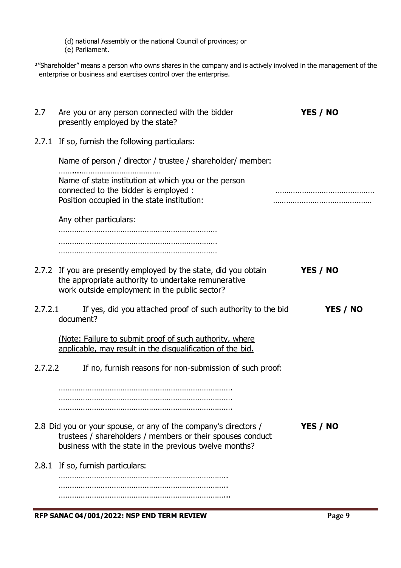(d) national Assembly or the national Council of provinces; or

(e) Parliament.

<sup>2</sup>"Shareholder" means a person who owns shares in the company and is actively involved in the management of the enterprise or business and exercises control over the enterprise.

| 2.7     | Are you or any person connected with the bidder<br>presently employed by the state?                                                                                                     | YES / NO |
|---------|-----------------------------------------------------------------------------------------------------------------------------------------------------------------------------------------|----------|
|         | 2.7.1 If so, furnish the following particulars:                                                                                                                                         |          |
|         | Name of person / director / trustee / shareholder/ member:                                                                                                                              |          |
|         | Name of state institution at which you or the person<br>connected to the bidder is employed :<br>Position occupied in the state institution:                                            |          |
|         | Any other particulars:                                                                                                                                                                  |          |
|         |                                                                                                                                                                                         |          |
|         |                                                                                                                                                                                         |          |
|         | 2.7.2 If you are presently employed by the state, did you obtain<br>the appropriate authority to undertake remunerative<br>work outside employment in the public sector?                | YES / NO |
| 2.7.2.1 | If yes, did you attached proof of such authority to the bid<br>document?                                                                                                                | YES / NO |
|         | (Note: Failure to submit proof of such authority, where<br>applicable, may result in the disqualification of the bid.                                                                   |          |
| 2.7.2.2 | If no, furnish reasons for non-submission of such proof:                                                                                                                                |          |
|         |                                                                                                                                                                                         |          |
|         |                                                                                                                                                                                         |          |
|         | 2.8 Did you or your spouse, or any of the company's directors /<br>trustees / shareholders / members or their spouses conduct<br>business with the state in the previous twelve months? | YES / NO |
|         | 2.8.1 If so, furnish particulars:                                                                                                                                                       |          |
|         |                                                                                                                                                                                         |          |
|         |                                                                                                                                                                                         |          |

**RFP SANAC 04/001/2022: NSP END TERM REVIEW Page 9**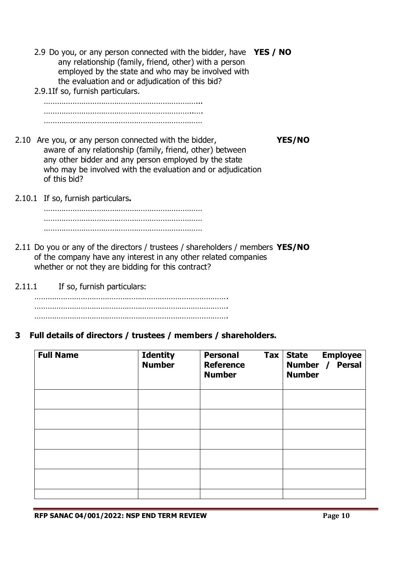- 2.9 Do you, or any person connected with the bidder, have **YES / NO** any relationship (family, friend, other) with a person employed by the state and who may be involved with the evaluation and or adjudication of this bid?
- 2.9.1If so, furnish particulars.

……………………………………………………………... …………………………………………………………..…. ………………………………………………………………

- 2.10 Are you, or any person connected with the bidder, **YES/NO** aware of any relationship (family, friend, other) between any other bidder and any person employed by the state who may be involved with the evaluation and or adjudication of this bid?
- 2.10.1 If so, furnish particulars**.**

……………………………………………………………… ……………………………………………………………… ………………………………………………………………

- 2.11 Do you or any of the directors / trustees / shareholders / members **YES/NO** of the company have any interest in any other related companies whether or not they are bidding for this contract?
- 2.11.1 If so, furnish particulars:

……………………………………………………………………………. ……………………………………………………………………………. …………………………………………………………………………….

**3 Full details of directors / trustees / members / shareholders.**

| <b>Full Name</b> | <b>Identity</b><br><b>Number</b> | <b>Tax</b><br><b>Personal</b><br><b>Reference</b><br><b>Number</b> | State Employee<br>Number / Persal<br><b>State</b><br><b>Number</b> |
|------------------|----------------------------------|--------------------------------------------------------------------|--------------------------------------------------------------------|
|                  |                                  |                                                                    |                                                                    |
|                  |                                  |                                                                    |                                                                    |
|                  |                                  |                                                                    |                                                                    |
|                  |                                  |                                                                    |                                                                    |
|                  |                                  |                                                                    |                                                                    |
|                  |                                  |                                                                    |                                                                    |

**RFP SANAC 04/001/2022: NSP END TERM REVIEW Page 10**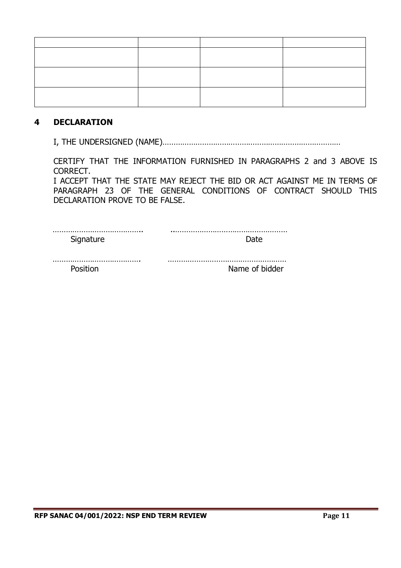# **4 DECLARATION**

I, THE UNDERSIGNED (NAME)………………………………………………………………………

CERTIFY THAT THE INFORMATION FURNISHED IN PARAGRAPHS 2 and 3 ABOVE IS CORRECT.

I ACCEPT THAT THE STATE MAY REJECT THE BID OR ACT AGAINST ME IN TERMS OF PARAGRAPH 23 OF THE GENERAL CONDITIONS OF CONTRACT SHOULD THIS DECLARATION PROVE TO BE FALSE.

| Name of bidder |
|----------------|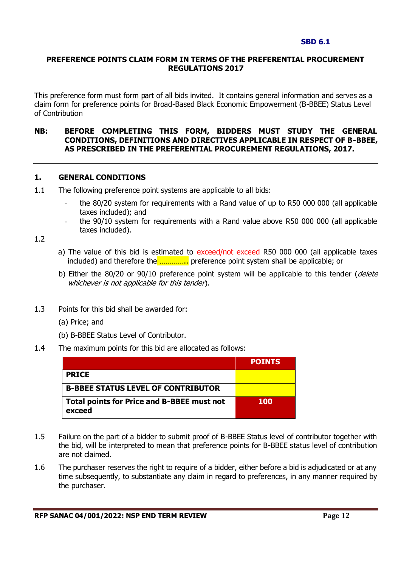#### **SBD 6.1**

### **PREFERENCE POINTS CLAIM FORM IN TERMS OF THE PREFERENTIAL PROCUREMENT REGULATIONS 2017**

This preference form must form part of all bids invited. It contains general information and serves as a claim form for preference points for Broad-Based Black Economic Empowerment (B-BBEE) Status Level of Contribution

### **NB: BEFORE COMPLETING THIS FORM, BIDDERS MUST STUDY THE GENERAL CONDITIONS, DEFINITIONS AND DIRECTIVES APPLICABLE IN RESPECT OF B-BBEE, AS PRESCRIBED IN THE PREFERENTIAL PROCUREMENT REGULATIONS, 2017.**

### **1. GENERAL CONDITIONS**

- 1.1 The following preference point systems are applicable to all bids:
	- the 80/20 system for requirements with a Rand value of up to R50 000 000 (all applicable taxes included); and
	- the 90/10 system for requirements with a Rand value above R50 000 000 (all applicable taxes included).

1.2

- a) The value of this bid is estimated to exceed/not exceed R50 000 000 (all applicable taxes included) and therefore the …………... preference point system shall be applicable; or
- b) Either the 80/20 or 90/10 preference point system will be applicable to this tender (delete whichever is not applicable for this tender).
- 1.3 Points for this bid shall be awarded for:
	- (a) Price; and
	- (b) B-BBEE Status Level of Contributor.
- 1.4 The maximum points for this bid are allocated as follows:

|                                                             | <b>POINTS</b> |
|-------------------------------------------------------------|---------------|
| <b>PRICE</b>                                                |               |
| <b>B-BBEE STATUS LEVEL OF CONTRIBUTOR</b>                   |               |
| <b>Total points for Price and B-BBEE must not</b><br>exceed | <b>100</b>    |

- 1.5 Failure on the part of a bidder to submit proof of B-BBEE Status level of contributor together with the bid, will be interpreted to mean that preference points for B-BBEE status level of contribution are not claimed.
- 1.6 The purchaser reserves the right to require of a bidder, either before a bid is adjudicated or at any time subsequently, to substantiate any claim in regard to preferences, in any manner required by the purchaser.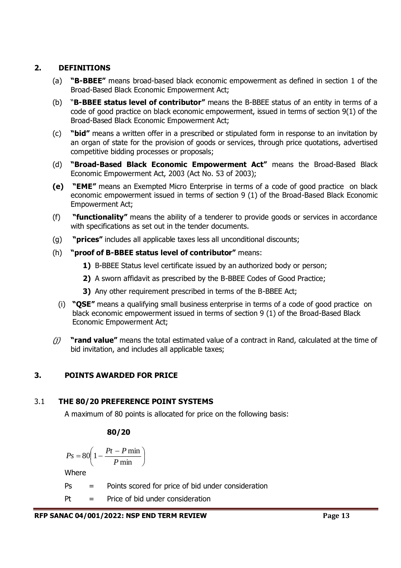# **2. DEFINITIONS**

- (a) **"B-BBEE"** means broad-based black economic empowerment as defined in section 1 of the Broad-Based Black Economic Empowerment Act;
- (b) "**B-BBEE status level of contributor"** means the B-BBEE status of an entity in terms of a code of good practice on black economic empowerment, issued in terms of section 9(1) of the Broad-Based Black Economic Empowerment Act;
- (c) **"bid"** means a written offer in a prescribed or stipulated form in response to an invitation by an organ of state for the provision of goods or services, through price quotations, advertised competitive bidding processes or proposals;
- (d) **"Broad-Based Black Economic Empowerment Act"** means the Broad-Based Black Economic Empowerment Act, 2003 (Act No. 53 of 2003);
- **(e) "EME"** means an Exempted Micro Enterprise in terms of a code of good practice on black economic empowerment issued in terms of section 9 (1) of the Broad-Based Black Economic Empowerment Act;
- (f) **"functionality"** means the ability of a tenderer to provide goods or services in accordance with specifications as set out in the tender documents.
- (g) **"prices"** includes all applicable taxes less all unconditional discounts;
- (h) **"proof of B-BBEE status level of contributor"** means:
	- **1)** B-BBEE Status level certificate issued by an authorized body or person;
	- **2)** A sworn affidavit as prescribed by the B-BBEE Codes of Good Practice;
	- **3)** Any other requirement prescribed in terms of the B-BBEE Act;
	- (i) **"QSE"** means a qualifying small business enterprise in terms of a code of good practice on black economic empowerment issued in terms of section 9 (1) of the Broad-Based Black Economic Empowerment Act;
- (j) **"rand value"** means the total estimated value of a contract in Rand, calculated at the time of bid invitation, and includes all applicable taxes;

# **3. POINTS AWARDED FOR PRICE**

# 3.1 **THE 80/20 PREFERENCE POINT SYSTEMS**

A maximum of 80 points is allocated for price on the following basis:

# **80/20**

$$
Ps = 80 \left( 1 - \frac{Pt - P \min}{P \min} \right)
$$

Where

- Ps = Points scored for price of bid under consideration
- Pt = Price of bid under consideration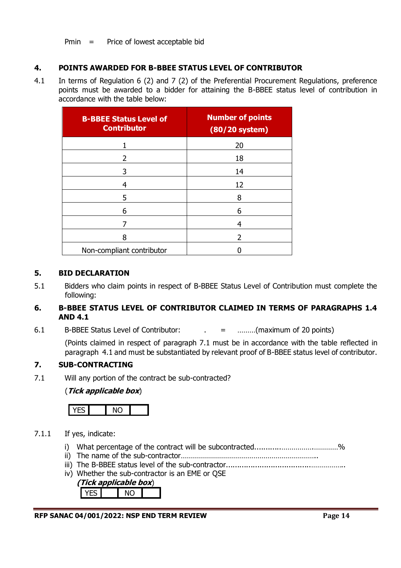Pmin = Price of lowest acceptable bid

# **4. POINTS AWARDED FOR B-BBEE STATUS LEVEL OF CONTRIBUTOR**

4.1 In terms of Regulation 6 (2) and 7 (2) of the Preferential Procurement Regulations, preference points must be awarded to a bidder for attaining the B-BBEE status level of contribution in accordance with the table below:

| <b>B-BBEE Status Level of</b><br><b>Contributor</b> | <b>Number of points</b><br>(80/20 system) |
|-----------------------------------------------------|-------------------------------------------|
|                                                     | 20                                        |
| 2                                                   | 18                                        |
| 3                                                   | 14                                        |
| 4                                                   | 12                                        |
| 5                                                   | 8                                         |
| 6                                                   | 6                                         |
|                                                     |                                           |
| 8                                                   | 2                                         |
| Non-compliant contributor                           |                                           |

### **5. BID DECLARATION**

5.1 Bidders who claim points in respect of B-BBEE Status Level of Contribution must complete the following:

# **6. B-BBEE STATUS LEVEL OF CONTRIBUTOR CLAIMED IN TERMS OF PARAGRAPHS 1.4 AND 4.1**

6.1 B-BBEE Status Level of Contributor:  $\qquad \qquad = \qquad \qquad \dots \dots \dots ($ maximum of 20 points)

(Points claimed in respect of paragraph 7.1 must be in accordance with the table reflected in paragraph 4.1 and must be substantiated by relevant proof of B-BBEE status level of contributor.

# **7. SUB-CONTRACTING**

7.1 Will any portion of the contract be sub-contracted?

# (**Tick applicable box**)



# 7.1.1 If yes, indicate:

- i) What percentage of the contract will be subcontracted...................................%
- ii) The name of the sub-contractor…………………………………………………………..
- iii) The B-BBEE status level of the sub-contractor......................................……………..
- iv) Whether the sub-contractor is an EME or QSE

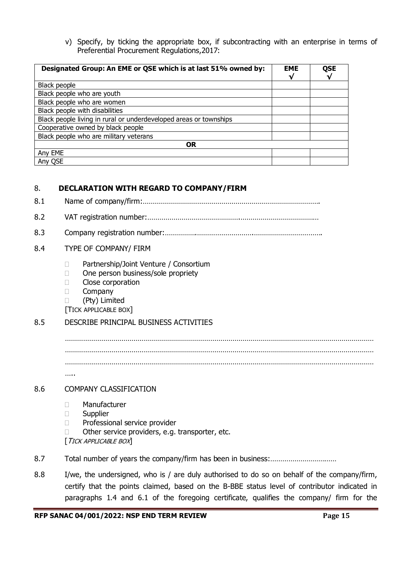v) Specify, by ticking the appropriate box, if subcontracting with an enterprise in terms of Preferential Procurement Regulations,2017:

| Designated Group: An EME or QSE which is at last 51% owned by:    | <b>EME</b><br>V | <b>QSE</b><br>V |
|-------------------------------------------------------------------|-----------------|-----------------|
| Black people                                                      |                 |                 |
| Black people who are youth                                        |                 |                 |
| Black people who are women                                        |                 |                 |
| Black people with disabilities                                    |                 |                 |
| Black people living in rural or underdeveloped areas or townships |                 |                 |
| Cooperative owned by black people                                 |                 |                 |
| Black people who are military veterans                            |                 |                 |
| <b>OR</b>                                                         |                 |                 |
| Any EME                                                           |                 |                 |
| Any QSE                                                           |                 |                 |

### 8. **DECLARATION WITH REGARD TO COMPANY/FIRM**

- 8.1 Name of company/firm:…………………………………………………………………………….
- 8.2 VAT registration number:……………………………………….…………………………………
- 8.3 Company registration number:…………….……………………….…………………………….

#### 8.4 TYPE OF COMPANY/ FIRM

- □ Partnership/Joint Venture / Consortium
- □ One person business/sole propriety
- **Close corporation**
- **Company**
- (Pty) Limited
- [TICK APPLICABLE BOX]

### 8.5 DESCRIBE PRINCIPAL BUSINESS ACTIVITIES

……………………………………………………………………………………………………………………………………… ……………………………………………………………………………………………………………………………………… …..

### 8.6 COMPANY CLASSIFICATION

- Manufacturer
- Supplier
- D Professional service provider
- $\Box$  Other service providers, e.g. transporter, etc.
- [TICK APPLICABLE BOX]
- 8.7 Total number of years the company/firm has been in business:……………………………
- 8.8 I/we, the undersigned, who is / are duly authorised to do so on behalf of the company/firm, certify that the points claimed, based on the B-BBE status level of contributor indicated in paragraphs 1.4 and 6.1 of the foregoing certificate, qualifies the company/ firm for the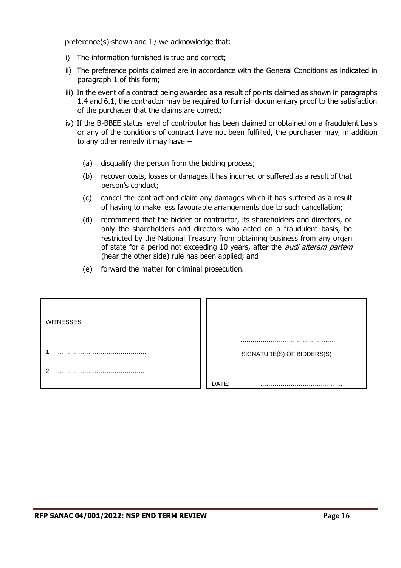preference(s) shown and I / we acknowledge that:

- i) The information furnished is true and correct;
- ii) The preference points claimed are in accordance with the General Conditions as indicated in paragraph 1 of this form;
- iii) In the event of a contract being awarded as a result of points claimed as shown in paragraphs 1.4 and 6.1, the contractor may be required to furnish documentary proof to the satisfaction of the purchaser that the claims are correct;
- iv) If the B-BBEE status level of contributor has been claimed or obtained on a fraudulent basis or any of the conditions of contract have not been fulfilled, the purchaser may, in addition to any other remedy it may have –
	- (a) disqualify the person from the bidding process;
	- (b) recover costs, losses or damages it has incurred or suffered as a result of that person's conduct;
	- (c) cancel the contract and claim any damages which it has suffered as a result of having to make less favourable arrangements due to such cancellation;
	- (d) recommend that the bidder or contractor, its shareholders and directors, or only the shareholders and directors who acted on a fraudulent basis, be restricted by the National Treasury from obtaining business from any organ of state for a period not exceeding 10 years, after the *audi alteram partem* (hear the other side) rule has been applied; and
	- (e) forward the matter for criminal prosecution.

| <b>WITNESSES</b> |                            |
|------------------|----------------------------|
|                  |                            |
|                  | SIGNATURE(S) OF BIDDERS(S) |
| ົ                |                            |
|                  | DATE:                      |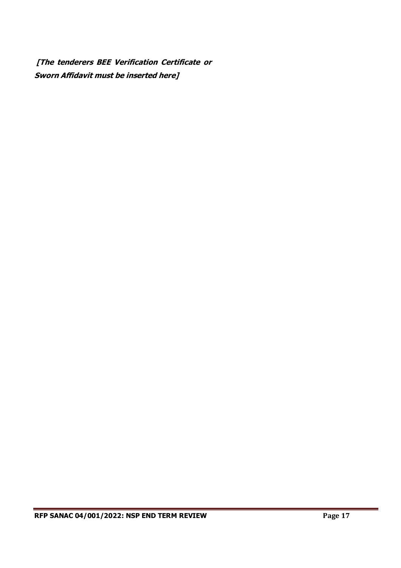**[The tenderers BEE Verification Certificate or Sworn Affidavit must be inserted here]**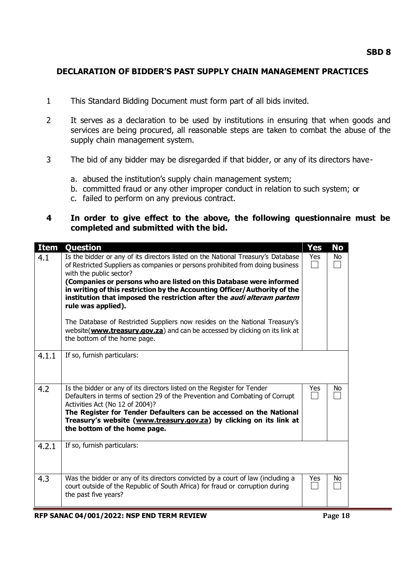# **DECLARATION OF BIDDER'S PAST SUPPLY CHAIN MANAGEMENT PRACTICES**

- 1 This Standard Bidding Document must form part of all bids invited.
- 2 It serves as a declaration to be used by institutions in ensuring that when goods and services are being procured, all reasonable steps are taken to combat the abuse of the supply chain management system.
- 3 The bid of any bidder may be disregarded if that bidder, or any of its directors have
	- a. abused the institution's supply chain management system;
	- b. committed fraud or any other improper conduct in relation to such system; or
	- c. failed to perform on any previous contract.

# **4 In order to give effect to the above, the following questionnaire must be completed and submitted with the bid.**

| <b>Item</b> | Question                                                                                                                                                                                                                                                                                                                                                                                                                                                                                                                                                                                                                                                        | <b>Yes</b> | <b>No</b> |
|-------------|-----------------------------------------------------------------------------------------------------------------------------------------------------------------------------------------------------------------------------------------------------------------------------------------------------------------------------------------------------------------------------------------------------------------------------------------------------------------------------------------------------------------------------------------------------------------------------------------------------------------------------------------------------------------|------------|-----------|
| 4.1         | Is the bidder or any of its directors listed on the National Treasury's Database<br>of Restricted Suppliers as companies or persons prohibited from doing business<br>with the public sector?<br>(Companies or persons who are listed on this Database were informed<br>in writing of this restriction by the Accounting Officer/Authority of the<br>institution that imposed the restriction after the <i>audi alteram partem</i><br>rule was applied).<br>The Database of Restricted Suppliers now resides on the National Treasury's<br>website( <b>www.treasury.gov.za</b> ) and can be accessed by clicking on its link at<br>the bottom of the home page. | Yes        | No        |
| 4.1.1       | If so, furnish particulars:                                                                                                                                                                                                                                                                                                                                                                                                                                                                                                                                                                                                                                     |            |           |
| 4.2         | Is the bidder or any of its directors listed on the Register for Tender<br>Defaulters in terms of section 29 of the Prevention and Combating of Corrupt<br>Activities Act (No 12 of 2004)?<br>The Register for Tender Defaulters can be accessed on the National<br>Treasury's website (www.treasury.gov.za) by clicking on its link at<br>the bottom of the home page.                                                                                                                                                                                                                                                                                         | Yes        | No        |
| 4.2.1       | If so, furnish particulars:                                                                                                                                                                                                                                                                                                                                                                                                                                                                                                                                                                                                                                     |            |           |
| 4.3         | Was the bidder or any of its directors convicted by a court of law (including a<br>court outside of the Republic of South Africa) for fraud or corruption during<br>the past five years?                                                                                                                                                                                                                                                                                                                                                                                                                                                                        | Yes        | No        |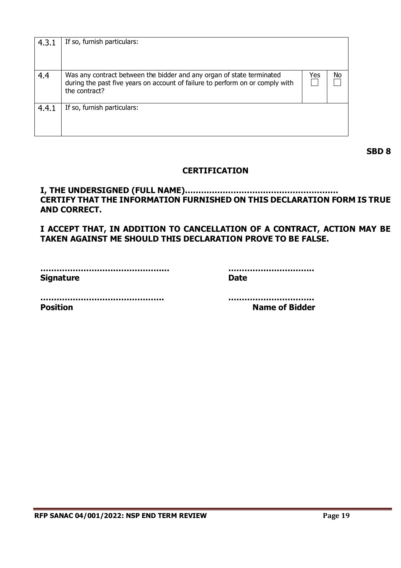| 4.3.1 | If so, furnish particulars:                                                                                                                                             |     |    |
|-------|-------------------------------------------------------------------------------------------------------------------------------------------------------------------------|-----|----|
| 4.4   | Was any contract between the bidder and any organ of state terminated<br>during the past five years on account of failure to perform on or comply with<br>the contract? | Yes | No |
| 4.4.1 | If so, furnish particulars:                                                                                                                                             |     |    |

**SBD 8**

# **CERTIFICATION**

**I, THE UNDERSIGNED (FULL NAME)………………………………………………… CERTIFY THAT THE INFORMATION FURNISHED ON THIS DECLARATION FORM IS TRUE AND CORRECT.**

**I ACCEPT THAT, IN ADDITION TO CANCELLATION OF A CONTRACT, ACTION MAY BE TAKEN AGAINST ME SHOULD THIS DECLARATION PROVE TO BE FALSE.**

| <b>Signature</b> | Date |
|------------------|------|
|                  |      |

**Position Name of Bidder**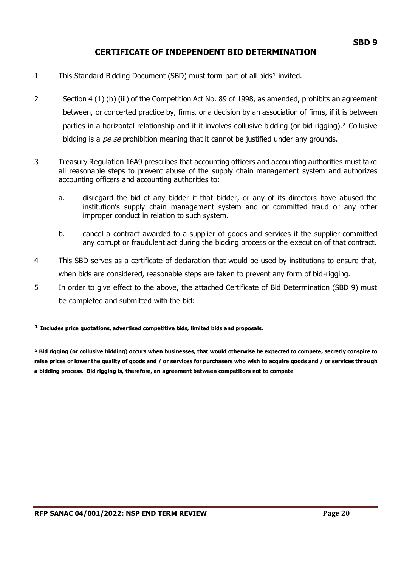# **CERTIFICATE OF INDEPENDENT BID DETERMINATION**

- 1 This Standard Bidding Document (SBD) must form part of all bids<sup>1</sup> invited.
- 2 Section 4 (1) (b) (iii) of the Competition Act No. 89 of 1998, as amended, prohibits an agreement between, or concerted practice by, firms, or a decision by an association of firms, if it is between parties in a horizontal relationship and if it involves collusive bidding (or bid rigging).² Collusive bidding is a  $pe$  se prohibition meaning that it cannot be justified under any grounds.
- 3 Treasury Regulation 16A9 prescribes that accounting officers and accounting authorities must take all reasonable steps to prevent abuse of the supply chain management system and authorizes accounting officers and accounting authorities to:
	- a. disregard the bid of any bidder if that bidder, or any of its directors have abused the institution's supply chain management system and or committed fraud or any other improper conduct in relation to such system.
	- b. cancel a contract awarded to a supplier of goods and services if the supplier committed any corrupt or fraudulent act during the bidding process or the execution of that contract.
- 4 This SBD serves as a certificate of declaration that would be used by institutions to ensure that, when bids are considered, reasonable steps are taken to prevent any form of bid-rigging.
- 5 In order to give effect to the above, the attached Certificate of Bid Determination (SBD 9) must be completed and submitted with the bid:

#### **¹ Includes price quotations, advertised competitive bids, limited bids and proposals.**

**² Bid rigging (or collusive bidding) occurs when businesses, that would otherwise be expected to compete, secretly conspire to raise prices or lower the quality of goods and / or services for purchasers who wish to acquire goods and / or services through a bidding process. Bid rigging is, therefore, an agreement between competitors not to compete**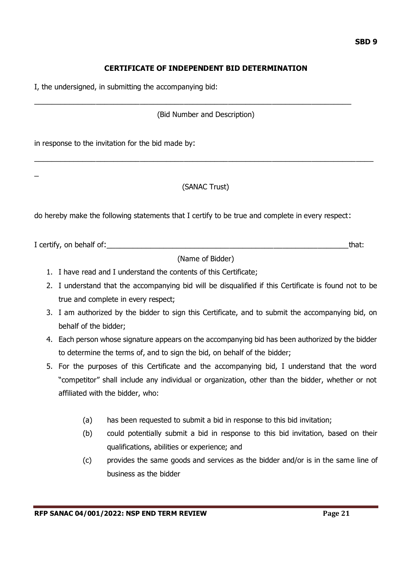# **CERTIFICATE OF INDEPENDENT BID DETERMINATION**

I, the undersigned, in submitting the accompanying bid:

(Bid Number and Description)

\_\_\_\_\_\_\_\_\_\_\_\_\_\_\_\_\_\_\_\_\_\_\_\_\_\_\_\_\_\_\_\_\_\_\_\_\_\_\_\_\_\_\_\_\_\_\_\_\_\_\_\_\_\_\_\_\_\_\_\_\_\_\_\_\_\_\_\_\_\_\_\_

in response to the invitation for the bid made by:

\_

# (SANAC Trust)

\_\_\_\_\_\_\_\_\_\_\_\_\_\_\_\_\_\_\_\_\_\_\_\_\_\_\_\_\_\_\_\_\_\_\_\_\_\_\_\_\_\_\_\_\_\_\_\_\_\_\_\_\_\_\_\_\_\_\_\_\_\_\_\_\_\_\_\_\_\_\_\_\_\_\_\_\_

do hereby make the following statements that I certify to be true and complete in every respect:

I certify, on behalf of:\_\_\_\_\_\_\_\_\_\_\_\_\_\_\_\_\_\_\_\_\_\_\_\_\_\_\_\_\_\_\_\_\_\_\_\_\_\_\_\_\_\_\_\_\_\_\_\_\_\_\_\_\_\_\_that:

(Name of Bidder)

- 1. I have read and I understand the contents of this Certificate;
- 2. I understand that the accompanying bid will be disqualified if this Certificate is found not to be true and complete in every respect;
- 3. I am authorized by the bidder to sign this Certificate, and to submit the accompanying bid, on behalf of the bidder;
- 4. Each person whose signature appears on the accompanying bid has been authorized by the bidder to determine the terms of, and to sign the bid, on behalf of the bidder;
- 5. For the purposes of this Certificate and the accompanying bid, I understand that the word "competitor" shall include any individual or organization, other than the bidder, whether or not affiliated with the bidder, who:
	- (a) has been requested to submit a bid in response to this bid invitation;
	- (b) could potentially submit a bid in response to this bid invitation, based on their qualifications, abilities or experience; and
	- (c) provides the same goods and services as the bidder and/or is in the same line of business as the bidder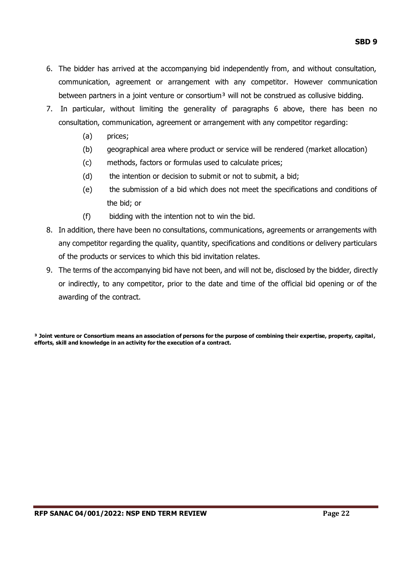- 6. The bidder has arrived at the accompanying bid independently from, and without consultation, communication, agreement or arrangement with any competitor. However communication between partners in a joint venture or consortium<sup>3</sup> will not be construed as collusive bidding.
- 7. In particular, without limiting the generality of paragraphs 6 above, there has been no consultation, communication, agreement or arrangement with any competitor regarding:
	- (a) prices;
	- (b) geographical area where product or service will be rendered (market allocation)
	- (c) methods, factors or formulas used to calculate prices;
	- (d) the intention or decision to submit or not to submit, a bid;
	- (e) the submission of a bid which does not meet the specifications and conditions of the bid; or
	- (f) bidding with the intention not to win the bid.
- 8. In addition, there have been no consultations, communications, agreements or arrangements with any competitor regarding the quality, quantity, specifications and conditions or delivery particulars of the products or services to which this bid invitation relates.
- 9. The terms of the accompanying bid have not been, and will not be, disclosed by the bidder, directly or indirectly, to any competitor, prior to the date and time of the official bid opening or of the awarding of the contract.

**³ Joint venture or Consortium means an association of persons for the purpose of combining their expertise, property, capital, efforts, skill and knowledge in an activity for the execution of a contract.**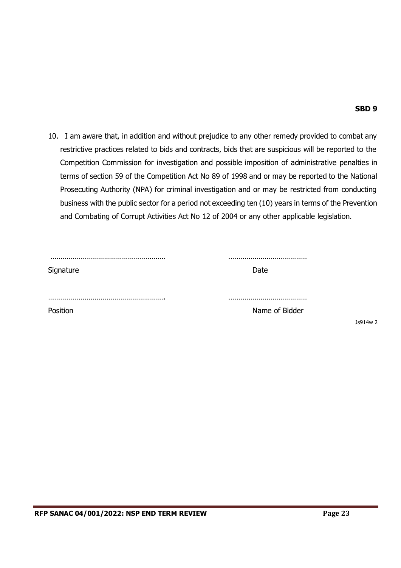### **SBD 9**

10. I am aware that, in addition and without prejudice to any other remedy provided to combat any restrictive practices related to bids and contracts, bids that are suspicious will be reported to the Competition Commission for investigation and possible imposition of administrative penalties in terms of section 59 of the Competition Act No 89 of 1998 and or may be reported to the National Prosecuting Authority (NPA) for criminal investigation and or may be restricted from conducting business with the public sector for a period not exceeding ten (10) years in terms of the Prevention and Combating of Corrupt Activities Act No 12 of 2004 or any other applicable legislation.

| Signature | Date           |              |
|-----------|----------------|--------------|
|           |                |              |
| Position  | Name of Bidder |              |
|           |                | 14w 2<br>Js9 |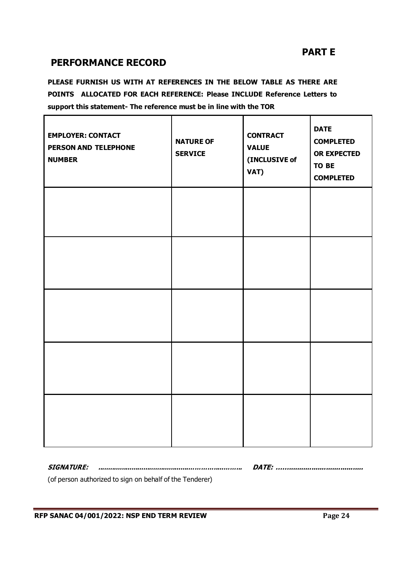# **PART E**

# **PERFORMANCE RECORD**

**PLEASE FURNISH US WITH AT REFERENCES IN THE BELOW TABLE AS THERE ARE POINTS ALLOCATED FOR EACH REFERENCE: Please INCLUDE Reference Letters to support this statement- The reference must be in line with the TOR**

| <b>EMPLOYER: CONTACT</b><br>PERSON AND TELEPHONE<br><b>NUMBER</b> | <b>NATURE OF</b><br><b>SERVICE</b> | <b>CONTRACT</b><br><b>VALUE</b><br>(INCLUSIVE of<br>VAT) | <b>DATE</b><br><b>COMPLETED</b><br><b>OR EXPECTED</b><br>TO BE<br><b>COMPLETED</b> |
|-------------------------------------------------------------------|------------------------------------|----------------------------------------------------------|------------------------------------------------------------------------------------|
|                                                                   |                                    |                                                          |                                                                                    |
|                                                                   |                                    |                                                          |                                                                                    |
|                                                                   |                                    |                                                          |                                                                                    |
|                                                                   |                                    |                                                          |                                                                                    |
|                                                                   |                                    |                                                          |                                                                                    |

**SIGNATURE: ..............................................………….....……... DATE: ……....................................**

(of person authorized to sign on behalf of the Tenderer)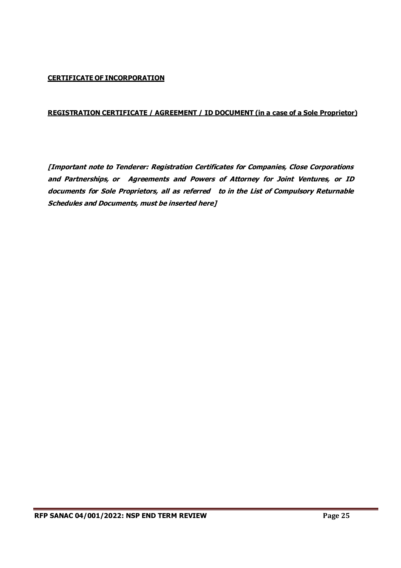### **CERTIFICATE OF INCORPORATION**

### **REGISTRATION CERTIFICATE / AGREEMENT / ID DOCUMENT (in a case of a Sole Proprietor)**

**[Important note to Tenderer: Registration Certificates for Companies, Close Corporations and Partnerships, or Agreements and Powers of Attorney for Joint Ventures, or ID documents for Sole Proprietors, all as referred to in the List of Compulsory Returnable Schedules and Documents, must be inserted here]**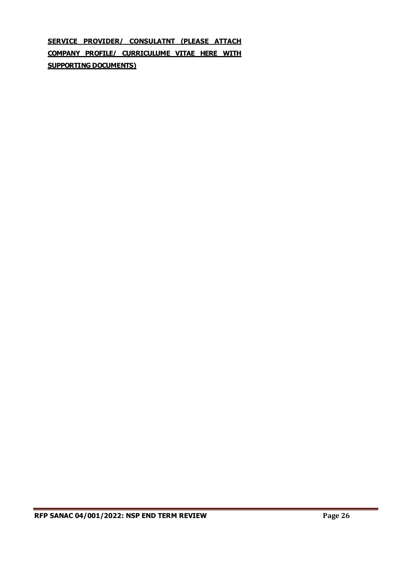**SERVICE PROVIDER/ CONSULATNT (PLEASE ATTACH COMPANY PROFILE/ CURRICULUME VITAE HERE WITH SUPPORTING DOCUMENTS)**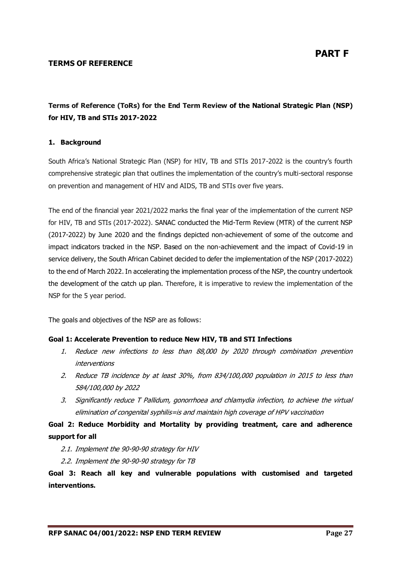### **TERMS OF REFERENCE**

# **Terms of Reference (ToRs) for the End Term Review of the National Strategic Plan (NSP) for HIV, TB and STIs 2017-2022**

### **1. Background**

South Africa's National Strategic Plan (NSP) for HIV, TB and STIs 2017-2022 is the country's fourth comprehensive strategic plan that outlines the implementation of the country's multi-sectoral response on prevention and management of HIV and AIDS, TB and STIs over five years.

The end of the financial year 2021/2022 marks the final year of the implementation of the current NSP for HIV, TB and STIs (2017-2022). SANAC conducted the Mid-Term Review (MTR) of the current NSP (2017-2022) by June 2020 and the findings depicted non-achievement of some of the outcome and impact indicators tracked in the NSP. Based on the non-achievement and the impact of Covid-19 in service delivery, the South African Cabinet decided to defer the implementation of the NSP (2017-2022) to the end of March 2022. In accelerating the implementation process of the NSP, the country undertook the development of the catch up plan. Therefore, it is imperative to review the implementation of the NSP for the 5 year period.

The goals and objectives of the NSP are as follows:

### **Goal 1: Accelerate Prevention to reduce New HIV, TB and STI Infections**

- 1. Reduce new infections to less than 88,000 by 2020 through combination prevention interventions
- 2. Reduce TB incidence by at least 30%, from 834/100,000 population in 2015 to less than 584/100,000 by 2022
- 3. Significantly reduce T Pallidum, gonorrhoea and chlamydia infection, to achieve the virtual elimination of congenital syphilis=is and maintain high coverage of HPV vaccination

# **Goal 2: Reduce Morbidity and Mortality by providing treatment, care and adherence support for all**

- 2.1. Implement the 90-90-90 strategy for HIV
- 2.2. Implement the 90-90-90 strategy for TB

**Goal 3: Reach all key and vulnerable populations with customised and targeted interventions.**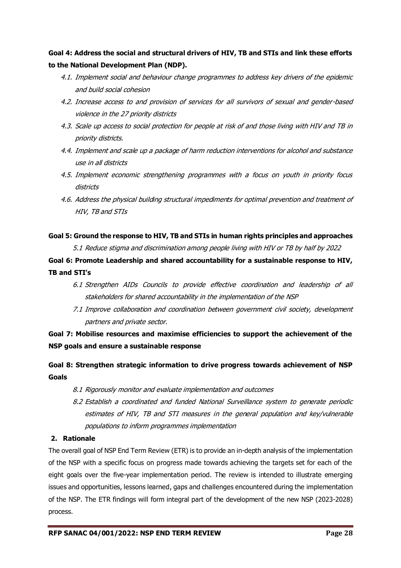**Goal 4: Address the social and structural drivers of HIV, TB and STIs and link these efforts to the National Development Plan (NDP).**

- 4.1. Implement social and behaviour change programmes to address key drivers of the epidemic and build social cohesion
- 4.2. Increase access to and provision of services for all survivors of sexual and gender-based violence in the 27 priority districts
- 4.3. Scale up access to social protection for people at risk of and those living with HIV and TB in priority districts.
- 4.4. Implement and scale up a package of harm reduction interventions for alcohol and substance use in all districts
- 4.5. Implement economic strengthening programmes with a focus on youth in priority focus districts
- 4.6. Address the physical building structural impediments for optimal prevention and treatment of HIV, TB and STIs

### **Goal 5: Ground the response to HIV, TB and STIs in human rights principles and approaches**

5.1 Reduce stigma and discrimination among people living with HIV or TB by half by 2022

**Goal 6: Promote Leadership and shared accountability for a sustainable response to HIV, TB and STI's**

- 6.1 Strengthen AIDs Councils to provide effective coordination and leadership of all stakeholders for shared accountability in the implementation of the NSP
- 7.1 Improve collaboration and coordination between government civil society, development partners and private sector.

**Goal 7: Mobilise resources and maximise efficiencies to support the achievement of the NSP goals and ensure a sustainable response**

**Goal 8: Strengthen strategic information to drive progress towards achievement of NSP Goals** 

- 8.1 Rigorously monitor and evaluate implementation and outcomes
- 8.2 Establish a coordinated and funded National Surveillance system to generate periodic estimates of HIV, TB and STI measures in the general population and key/vulnerable populations to inform programmes implementation

### **2. Rationale**

The overall goal of NSP End Term Review (ETR) is to provide an in-depth analysis of the implementation of the NSP with a specific focus on progress made towards achieving the targets set for each of the eight goals over the five-year implementation period. The review is intended to illustrate emerging issues and opportunities, lessons learned, gaps and challenges encountered during the implementation of the NSP. The ETR findings will form integral part of the development of the new NSP (2023-2028) process.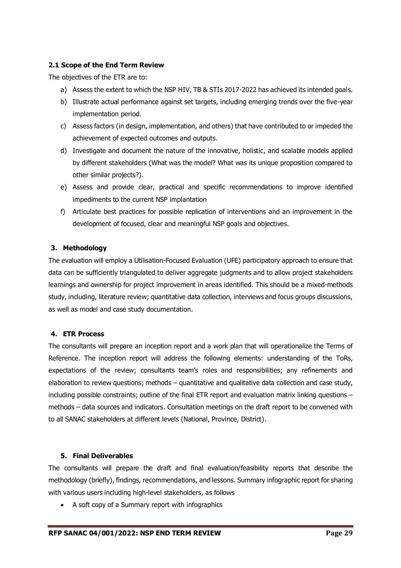### **2.1 Scope of the End Term Review**

The objectives of the ETR are to:

- a) Assess the extent to which the NSP HIV, TB & STIs 2017-2022 has achieved its intended goals.
- b) Illustrate actual performance against set targets, including emerging trends over the five-year implementation period.
- c) Assess factors (in design, implementation, and others) that have contributed to or impeded the achievement of expected outcomes and outputs.
- d) Investigate and document the nature of the innovative, holistic, and scalable models applied by different stakeholders (What was the model? What was its unique proposition compared to other similar projects?).
- e) Assess and provide clear, practical and specific recommendations to improve identified impediments to the current NSP implantation
- f) Articulate best practices for possible replication of interventions and an improvement in the development of focused, clear and meaningful NSP goals and objectives.

### **3. Methodology**

The evaluation will employ a Utilisation-Focused Evaluation (UFE) participatory approach to ensure that data can be sufficiently triangulated to deliver aggregate judgments and to allow project stakeholders learnings and ownership for project improvement in areas identified. This should be a mixed-methods study, including, literature review; quantitative data collection, interviews and focus groups discussions, as well as model and case study documentation.

### **4. ETR Process**

The consultants will prepare an inception report and a work plan that will operationalize the Terms of Reference. The inception report will address the following elements: understanding of the ToRs, expectations of the review; consultants team's roles and responsibilities; any refinements and elaboration to review questions; methods – quantitative and qualitative data collection and case study, including possible constraints; outline of the final ETR report and evaluation matrix linking questions  $$ methods – data sources and indicators. Consultation meetings on the draft report to be convened with to all SANAC stakeholders at different levels (National, Province, District).

### **5. Final Deliverables**

The consultants will prepare the draft and final evaluation/feasibility reports that describe the methodology (briefly), findings, recommendations, and lessons. Summary infographic report for sharing with various users including high-level stakeholders, as follows

• A soft copy of a Summary report with infographics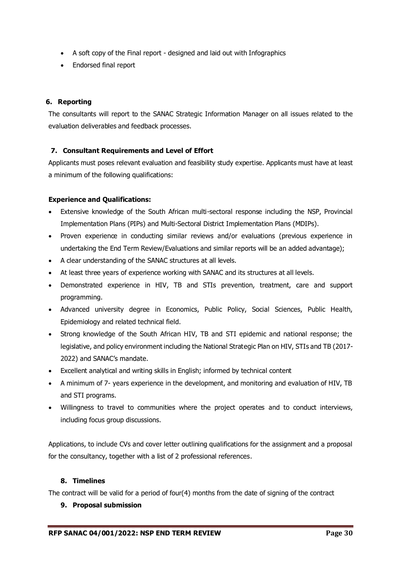- A soft copy of the Final report designed and laid out with Infographics
- Endorsed final report

### **6. Reporting**

The consultants will report to the SANAC Strategic Information Manager on all issues related to the evaluation deliverables and feedback processes.

### **7. Consultant Requirements and Level of Effort**

Applicants must poses relevant evaluation and feasibility study expertise. Applicants must have at least a minimum of the following qualifications:

### **Experience and Qualifications:**

- Extensive knowledge of the South African multi-sectoral response including the NSP, Provincial Implementation Plans (PIPs) and Multi-Sectoral District Implementation Plans (MDIPs).
- Proven experience in conducting similar reviews and/or evaluations (previous experience in undertaking the End Term Review/Evaluations and similar reports will be an added advantage);
- A clear understanding of the SANAC structures at all levels.
- At least three years of experience working with SANAC and its structures at all levels.
- Demonstrated experience in HIV, TB and STIs prevention, treatment, care and support programming.
- Advanced university degree in Economics, Public Policy, Social Sciences, Public Health, Epidemiology and related technical field.
- Strong knowledge of the South African HIV, TB and STI epidemic and national response; the legislative, and policy environment including the National Strategic Plan on HIV, STIs and TB (2017- 2022) and SANAC's mandate.
- Excellent analytical and writing skills in English; informed by technical content
- A minimum of 7- years experience in the development, and monitoring and evaluation of HIV, TB and STI programs.
- Willingness to travel to communities where the project operates and to conduct interviews, including focus group discussions.

Applications, to include CVs and cover letter outlining qualifications for the assignment and a proposal for the consultancy, together with a list of 2 professional references.

### **8. Timelines**

The contract will be valid for a period of four(4) months from the date of signing of the contract

### **9. Proposal submission**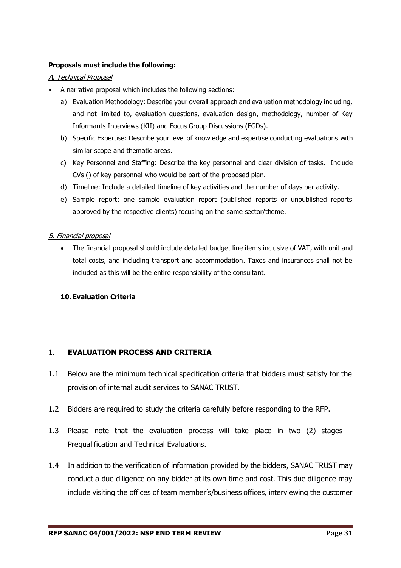### **Proposals must include the following:**

### A. Technical Proposal

- A narrative proposal which includes the following sections:
	- a) Evaluation Methodology: Describe your overall approach and evaluation methodology including, and not limited to, evaluation questions, evaluation design, methodology, number of Key Informants Interviews (KII) and Focus Group Discussions (FGDs).
	- b) Specific Expertise: Describe your level of knowledge and expertise conducting evaluations with similar scope and thematic areas.
	- c) Key Personnel and Staffing: Describe the key personnel and clear division of tasks. Include CVs () of key personnel who would be part of the proposed plan.
	- d) Timeline: Include a detailed timeline of key activities and the number of days per activity.
	- e) Sample report: one sample evaluation report (published reports or unpublished reports approved by the respective clients) focusing on the same sector/theme.

### B. Financial proposal

• The financial proposal should include detailed budget line items inclusive of VAT, with unit and total costs, and including transport and accommodation. Taxes and insurances shall not be included as this will be the entire responsibility of the consultant.

### **10. Evaluation Criteria**

# 1. **EVALUATION PROCESS AND CRITERIA**

- 1.1 Below are the minimum technical specification criteria that bidders must satisfy for the provision of internal audit services to SANAC TRUST.
- 1.2 Bidders are required to study the criteria carefully before responding to the RFP.
- 1.3 Please note that the evaluation process will take place in two (2) stages Prequalification and Technical Evaluations.
- 1.4 In addition to the verification of information provided by the bidders, SANAC TRUST may conduct a due diligence on any bidder at its own time and cost. This due diligence may include visiting the offices of team member's/business offices, interviewing the customer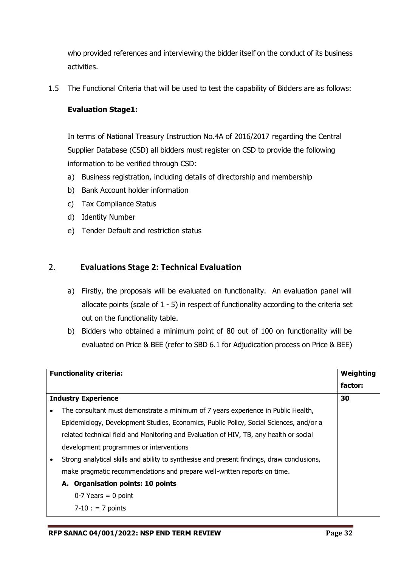who provided references and interviewing the bidder itself on the conduct of its business activities.

1.5 The Functional Criteria that will be used to test the capability of Bidders are as follows:

# **Evaluation Stage1:**

In terms of National Treasury Instruction No.4A of 2016/2017 regarding the Central Supplier Database (CSD) all bidders must register on CSD to provide the following information to be verified through CSD:

- a) Business registration, including details of directorship and membership
- b) Bank Account holder information
- c) Tax Compliance Status
- d) Identity Number
- e) Tender Default and restriction status

# 2. **Evaluations Stage 2: Technical Evaluation**

- a) Firstly, the proposals will be evaluated on functionality. An evaluation panel will allocate points (scale of 1 - 5) in respect of functionality according to the criteria set out on the functionality table.
- b) Bidders who obtained a minimum point of 80 out of 100 on functionality will be evaluated on Price & BEE (refer to SBD 6.1 for Adjudication process on Price & BEE)

| <b>Functionality criteria:</b><br>Weighting                                                |         |
|--------------------------------------------------------------------------------------------|---------|
|                                                                                            | factor: |
| <b>Industry Experience</b>                                                                 | 30      |
| The consultant must demonstrate a minimum of 7 years experience in Public Health,          |         |
| Epidemiology, Development Studies, Economics, Public Policy, Social Sciences, and/or a     |         |
| related technical field and Monitoring and Evaluation of HIV, TB, any health or social     |         |
| development programmes or interventions                                                    |         |
| Strong analytical skills and ability to synthesise and present findings, draw conclusions, |         |
| make pragmatic recommendations and prepare well-written reports on time.                   |         |
| A. Organisation points: 10 points                                                          |         |
| $0-7$ Years = 0 point                                                                      |         |
| $7 - 10$ : = 7 points                                                                      |         |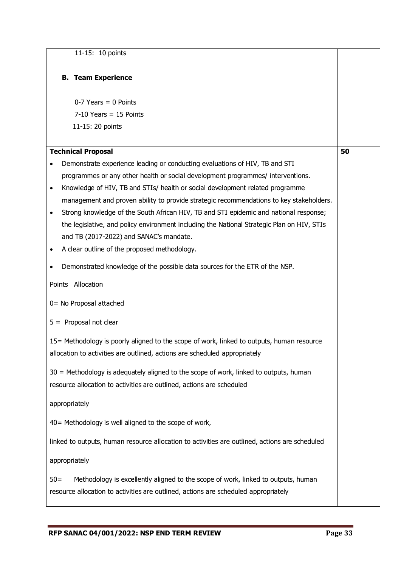| 11-15: 10 points                                                                                                                                                                                                                                                                                                                                                                                                                                                                                                                                                                                      |    |
|-------------------------------------------------------------------------------------------------------------------------------------------------------------------------------------------------------------------------------------------------------------------------------------------------------------------------------------------------------------------------------------------------------------------------------------------------------------------------------------------------------------------------------------------------------------------------------------------------------|----|
| <b>B.</b> Team Experience                                                                                                                                                                                                                                                                                                                                                                                                                                                                                                                                                                             |    |
| $0-7$ Years = 0 Points<br>$7-10$ Years = 15 Points                                                                                                                                                                                                                                                                                                                                                                                                                                                                                                                                                    |    |
| 11-15: 20 points                                                                                                                                                                                                                                                                                                                                                                                                                                                                                                                                                                                      |    |
| <b>Technical Proposal</b><br>Demonstrate experience leading or conducting evaluations of HIV, TB and STI<br>$\bullet$<br>programmes or any other health or social development programmes/ interventions.<br>Knowledge of HIV, TB and STIs/ health or social development related programme<br>$\bullet$<br>management and proven ability to provide strategic recommendations to key stakeholders.<br>Strong knowledge of the South African HIV, TB and STI epidemic and national response;<br>$\bullet$<br>the legislative, and policy environment including the National Strategic Plan on HIV, STIs | 50 |
| and TB (2017-2022) and SANAC's mandate.<br>A clear outline of the proposed methodology.<br>$\bullet$                                                                                                                                                                                                                                                                                                                                                                                                                                                                                                  |    |
| Demonstrated knowledge of the possible data sources for the ETR of the NSP.<br>$\bullet$<br>Points Allocation                                                                                                                                                                                                                                                                                                                                                                                                                                                                                         |    |
| 0 = No Proposal attached                                                                                                                                                                                                                                                                                                                                                                                                                                                                                                                                                                              |    |
| $5 =$ Proposal not clear                                                                                                                                                                                                                                                                                                                                                                                                                                                                                                                                                                              |    |
| 15= Methodology is poorly aligned to the scope of work, linked to outputs, human resource<br>allocation to activities are outlined, actions are scheduled appropriately                                                                                                                                                                                                                                                                                                                                                                                                                               |    |
| 30 = Methodology is adequately aligned to the scope of work, linked to outputs, human<br>resource allocation to activities are outlined, actions are scheduled                                                                                                                                                                                                                                                                                                                                                                                                                                        |    |
| appropriately                                                                                                                                                                                                                                                                                                                                                                                                                                                                                                                                                                                         |    |
| 40 = Methodology is well aligned to the scope of work,                                                                                                                                                                                                                                                                                                                                                                                                                                                                                                                                                |    |
| linked to outputs, human resource allocation to activities are outlined, actions are scheduled                                                                                                                                                                                                                                                                                                                                                                                                                                                                                                        |    |
| appropriately                                                                                                                                                                                                                                                                                                                                                                                                                                                                                                                                                                                         |    |
| Methodology is excellently aligned to the scope of work, linked to outputs, human<br>$50=$<br>resource allocation to activities are outlined, actions are scheduled appropriately                                                                                                                                                                                                                                                                                                                                                                                                                     |    |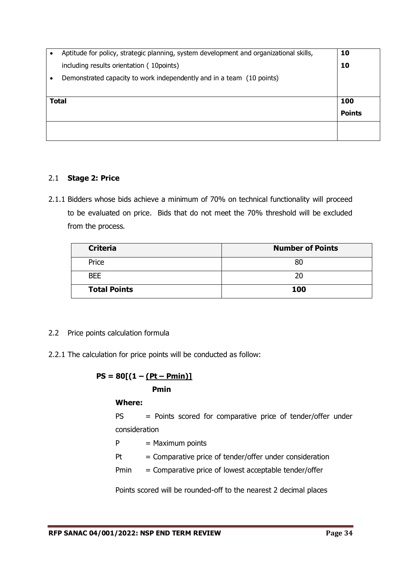| Aptitude for policy, strategic planning, system development and organizational skills, | 10            |
|----------------------------------------------------------------------------------------|---------------|
| including results orientation (10 points)                                              | 10            |
| Demonstrated capacity to work independently and in a team (10 points)                  |               |
|                                                                                        |               |
| <b>Total</b>                                                                           | 100           |
|                                                                                        | <b>Points</b> |
|                                                                                        |               |
|                                                                                        |               |

# 2.1 **Stage 2: Price**

2.1.1 Bidders whose bids achieve a minimum of 70% on technical functionality will proceed to be evaluated on price. Bids that do not meet the 70% threshold will be excluded from the process.

| <b>Criteria</b>     | <b>Number of Points</b> |
|---------------------|-------------------------|
| Price               | 80                      |
| <b>BEE</b>          | 20                      |
| <b>Total Points</b> | 100                     |

# 2.2 Price points calculation formula

2.2.1 The calculation for price points will be conducted as follow:

$$
PS = 80[(1 - (Pt - Pmin))]
$$
  
Prmin

### **Where:**

PS = Points scored for comparative price of tender/offer under consideration

 $P =$  Maximum points

- $Pt =$  Comparative price of tender/offer under consideration
- Pmin = Comparative price of lowest acceptable tender/offer

Points scored will be rounded-off to the nearest 2 decimal places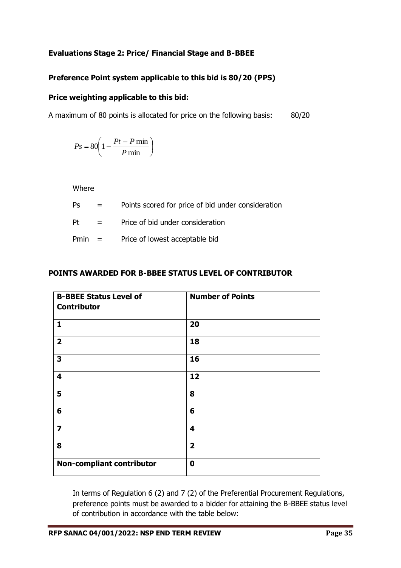# **Evaluations Stage 2: Price/ Financial Stage and B-BBEE**

# **Preference Point system applicable to this bid is 80/20 (PPS)**

### **Price weighting applicable to this bid:**

A maximum of 80 points is allocated for price on the following basis: 80/20

$$
Ps = 80 \left( 1 - \frac{Pt - P \min P}{ \min} \right)
$$

Where

| Ps | $\mathbf{r} = \mathbf{r}$ | Points scored for price of bid under consideration |
|----|---------------------------|----------------------------------------------------|
| Pt | $\mathbf{r} = \mathbf{r}$ | Price of bid under consideration                   |
|    | $Pmin =$                  | Price of lowest acceptable bid                     |

### **POINTS AWARDED FOR B-BBEE STATUS LEVEL OF CONTRIBUTOR**

| <b>B-BBEE Status Level of</b><br>Contributor | <b>Number of Points</b> |
|----------------------------------------------|-------------------------|
| $\mathbf{1}$                                 | 20                      |
| $\overline{\mathbf{2}}$                      | 18                      |
| 3                                            | 16                      |
| 4                                            | 12                      |
| 5                                            | 8                       |
| 6                                            | 6                       |
| $\overline{\mathbf{z}}$                      | $\overline{\mathbf{4}}$ |
| 8                                            | $\overline{2}$          |
| <b>Non-compliant contributor</b>             | $\mathbf 0$             |

In terms of Regulation 6 (2) and 7 (2) of the Preferential Procurement Regulations, preference points must be awarded to a bidder for attaining the B-BBEE status level of contribution in accordance with the table below: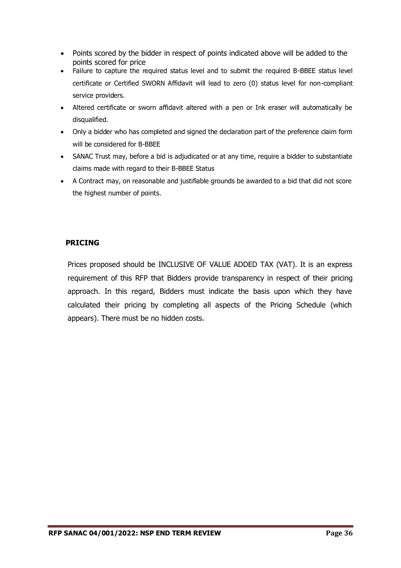- Points scored by the bidder in respect of points indicated above will be added to the points scored for price
- Failure to capture the required status level and to submit the required B-BBEE status level certificate or Certified SWORN Affidavit will lead to zero (0) status level for non-compliant service providers.
- Altered certificate or sworn affidavit altered with a pen or Ink eraser will automatically be disqualified.
- Only a bidder who has completed and signed the declaration part of the preference claim form will be considered for B-BBEE
- SANAC Trust may, before a bid is adjudicated or at any time, require a bidder to substantiate claims made with regard to their B-BBEE Status
- A Contract may, on reasonable and justifiable grounds be awarded to a bid that did not score the highest number of points.

# **PRICING**

Prices proposed should be INCLUSIVE OF VALUE ADDED TAX (VAT). It is an express requirement of this RFP that Bidders provide transparency in respect of their pricing approach. In this regard, Bidders must indicate the basis upon which they have calculated their pricing by completing all aspects of the Pricing Schedule (which appears). There must be no hidden costs.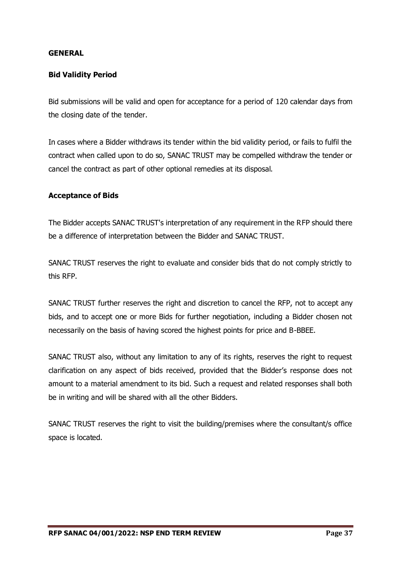### **GENERAL**

### **Bid Validity Period**

Bid submissions will be valid and open for acceptance for a period of 120 calendar days from the closing date of the tender.

In cases where a Bidder withdraws its tender within the bid validity period, or fails to fulfil the contract when called upon to do so, SANAC TRUST may be compelled withdraw the tender or cancel the contract as part of other optional remedies at its disposal.

### **Acceptance of Bids**

The Bidder accepts SANAC TRUST's interpretation of any requirement in the RFP should there be a difference of interpretation between the Bidder and SANAC TRUST.

SANAC TRUST reserves the right to evaluate and consider bids that do not comply strictly to this RFP.

SANAC TRUST further reserves the right and discretion to cancel the RFP, not to accept any bids, and to accept one or more Bids for further negotiation, including a Bidder chosen not necessarily on the basis of having scored the highest points for price and B-BBEE.

SANAC TRUST also, without any limitation to any of its rights, reserves the right to request clarification on any aspect of bids received, provided that the Bidder's response does not amount to a material amendment to its bid. Such a request and related responses shall both be in writing and will be shared with all the other Bidders.

SANAC TRUST reserves the right to visit the building/premises where the consultant/s office space is located.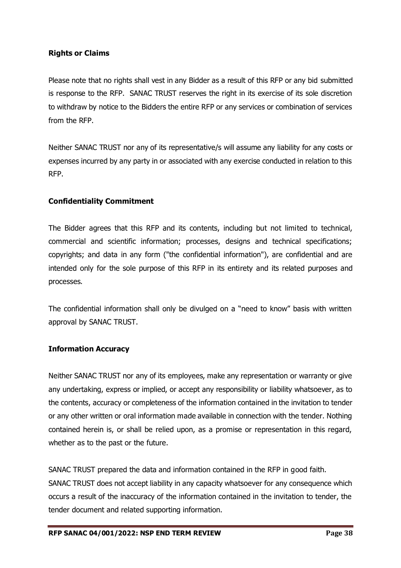# **Rights or Claims**

Please note that no rights shall vest in any Bidder as a result of this RFP or any bid submitted is response to the RFP. SANAC TRUST reserves the right in its exercise of its sole discretion to withdraw by notice to the Bidders the entire RFP or any services or combination of services from the RFP.

Neither SANAC TRUST nor any of its representative/s will assume any liability for any costs or expenses incurred by any party in or associated with any exercise conducted in relation to this RFP.

# **Confidentiality Commitment**

The Bidder agrees that this RFP and its contents, including but not limited to technical, commercial and scientific information; processes, designs and technical specifications; copyrights; and data in any form ("the confidential information"), are confidential and are intended only for the sole purpose of this RFP in its entirety and its related purposes and processes.

The confidential information shall only be divulged on a "need to know" basis with written approval by SANAC TRUST.

### **Information Accuracy**

Neither SANAC TRUST nor any of its employees, make any representation or warranty or give any undertaking, express or implied, or accept any responsibility or liability whatsoever, as to the contents, accuracy or completeness of the information contained in the invitation to tender or any other written or oral information made available in connection with the tender. Nothing contained herein is, or shall be relied upon, as a promise or representation in this regard, whether as to the past or the future.

SANAC TRUST prepared the data and information contained in the RFP in good faith.

SANAC TRUST does not accept liability in any capacity whatsoever for any consequence which occurs a result of the inaccuracy of the information contained in the invitation to tender, the tender document and related supporting information.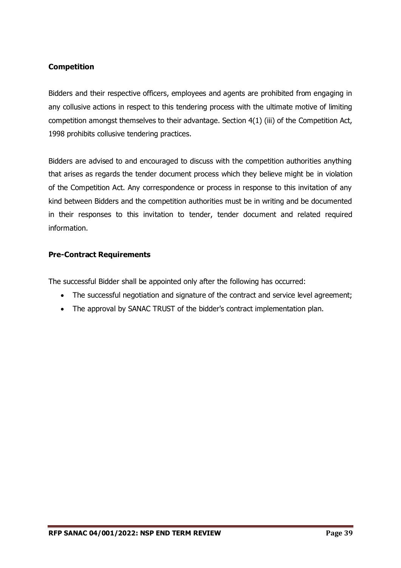# **Competition**

Bidders and their respective officers, employees and agents are prohibited from engaging in any collusive actions in respect to this tendering process with the ultimate motive of limiting competition amongst themselves to their advantage. Section 4(1) (iii) of the Competition Act, 1998 prohibits collusive tendering practices.

Bidders are advised to and encouraged to discuss with the competition authorities anything that arises as regards the tender document process which they believe might be in violation of the Competition Act. Any correspondence or process in response to this invitation of any kind between Bidders and the competition authorities must be in writing and be documented in their responses to this invitation to tender, tender document and related required information.

# **Pre-Contract Requirements**

The successful Bidder shall be appointed only after the following has occurred:

- The successful negotiation and signature of the contract and service level agreement;
- The approval by SANAC TRUST of the bidder's contract implementation plan.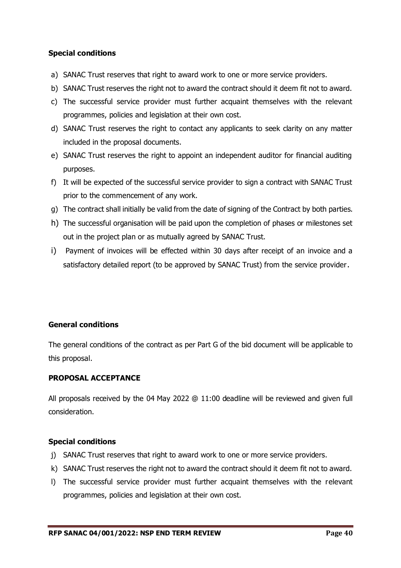# **Special conditions**

- a) SANAC Trust reserves that right to award work to one or more service providers.
- b) SANAC Trust reserves the right not to award the contract should it deem fit not to award.
- c) The successful service provider must further acquaint themselves with the relevant programmes, policies and legislation at their own cost.
- d) SANAC Trust reserves the right to contact any applicants to seek clarity on any matter included in the proposal documents.
- e) SANAC Trust reserves the right to appoint an independent auditor for financial auditing purposes.
- f) It will be expected of the successful service provider to sign a contract with SANAC Trust prior to the commencement of any work.
- g) The contract shall initially be valid from the date of signing of the Contract by both parties.
- h) The successful organisation will be paid upon the completion of phases or milestones set out in the project plan or as mutually agreed by SANAC Trust.
- i) Payment of invoices will be effected within 30 days after receipt of an invoice and a satisfactory detailed report (to be approved by SANAC Trust) from the service provider.

# **General conditions**

The general conditions of the contract as per Part G of the bid document will be applicable to this proposal.

# **PROPOSAL ACCEPTANCE**

All proposals received by the 04 May 2022 @ 11:00 deadline will be reviewed and given full consideration.

# **Special conditions**

- j) SANAC Trust reserves that right to award work to one or more service providers.
- k) SANAC Trust reserves the right not to award the contract should it deem fit not to award.
- l) The successful service provider must further acquaint themselves with the relevant programmes, policies and legislation at their own cost.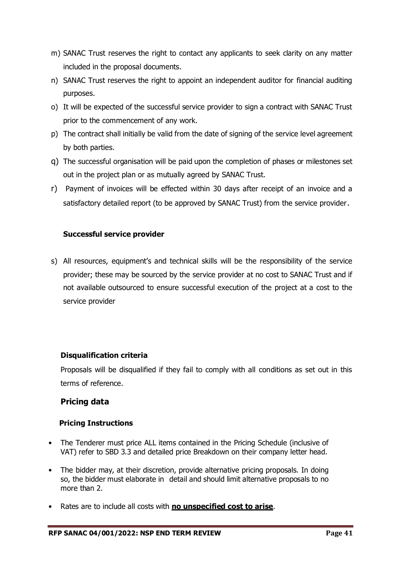- m) SANAC Trust reserves the right to contact any applicants to seek clarity on any matter included in the proposal documents.
- n) SANAC Trust reserves the right to appoint an independent auditor for financial auditing purposes.
- o) It will be expected of the successful service provider to sign a contract with SANAC Trust prior to the commencement of any work.
- p) The contract shall initially be valid from the date of signing of the service level agreement by both parties.
- q) The successful organisation will be paid upon the completion of phases or milestones set out in the project plan or as mutually agreed by SANAC Trust.
- r) Payment of invoices will be effected within 30 days after receipt of an invoice and a satisfactory detailed report (to be approved by SANAC Trust) from the service provider.

# **Successful service provider**

s) All resources, equipment's and technical skills will be the responsibility of the service provider; these may be sourced by the service provider at no cost to SANAC Trust and if not available outsourced to ensure successful execution of the project at a cost to the service provider

# **Disqualification criteria**

Proposals will be disqualified if they fail to comply with all conditions as set out in this terms of reference.

# **Pricing data**

# **Pricing Instructions**

- The Tenderer must price ALL items contained in the Pricing Schedule (inclusive of VAT) refer to SBD 3.3 and detailed price Breakdown on their company letter head.
- The bidder may, at their discretion, provide alternative pricing proposals. In doing so, the bidder must elaborate in detail and should limit alternative proposals to no more than 2.
- Rates are to include all costs with **no unspecified cost to arise**.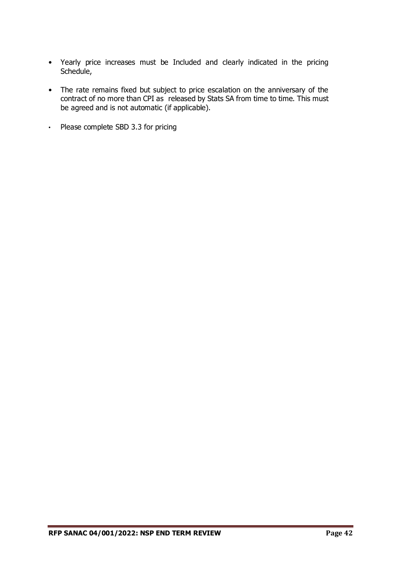- Yearly price increases must be Included and clearly indicated in the pricing Schedule,
- The rate remains fixed but subject to price escalation on the anniversary of the contract of no more than CPI as released by Stats SA from time to time. This must be agreed and is not automatic (if applicable).
- Please complete SBD 3.3 for pricing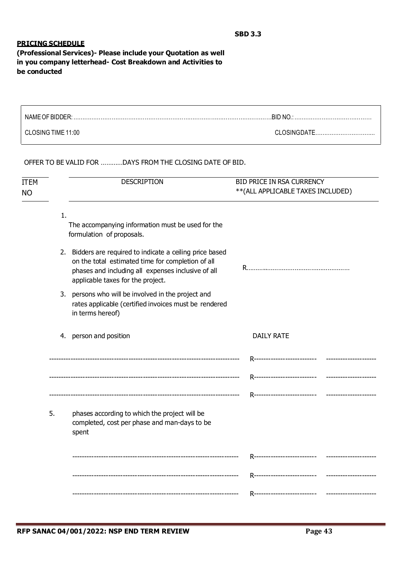#### **PRICING SCHEDULE**

**(Professional Services)- Please include your Quotation as well in you company letterhead- Cost Breakdown and Activities to be conducted**

| NAME OF BIDDER:    |              |
|--------------------|--------------|
| CLOSING TIME 11:00 | CLOSINGDATE. |

OFFER TO BE VALID FOR …………DAYS FROM THE CLOSING DATE OF BID.

| <b>ITEM</b><br><b>NO</b> |    | <b>DESCRIPTION</b>                                                                                                                                                                                        | BID PRICE IN RSA CURRENCY<br>** (ALL APPLICABLE TAXES INCLUDED) |  |  |
|--------------------------|----|-----------------------------------------------------------------------------------------------------------------------------------------------------------------------------------------------------------|-----------------------------------------------------------------|--|--|
|                          | 1. | The accompanying information must be used for the<br>formulation of proposals.                                                                                                                            |                                                                 |  |  |
|                          |    | 2. Bidders are required to indicate a ceiling price based<br>on the total estimated time for completion of all<br>phases and including all expenses inclusive of all<br>applicable taxes for the project. |                                                                 |  |  |
|                          | 3. | persons who will be involved in the project and<br>rates applicable (certified invoices must be rendered<br>in terms hereof)                                                                              |                                                                 |  |  |
|                          |    | 4. person and position                                                                                                                                                                                    | <b>DAILY RATE</b>                                               |  |  |
|                          |    |                                                                                                                                                                                                           | R----------------------------                                   |  |  |
|                          |    |                                                                                                                                                                                                           |                                                                 |  |  |
|                          |    |                                                                                                                                                                                                           |                                                                 |  |  |
|                          | 5. | phases according to which the project will be<br>completed, cost per phase and man-days to be<br>spent                                                                                                    |                                                                 |  |  |
|                          |    |                                                                                                                                                                                                           | R----------------------------                                   |  |  |
|                          |    |                                                                                                                                                                                                           |                                                                 |  |  |
|                          |    |                                                                                                                                                                                                           | R---------------------------<br>-----------------               |  |  |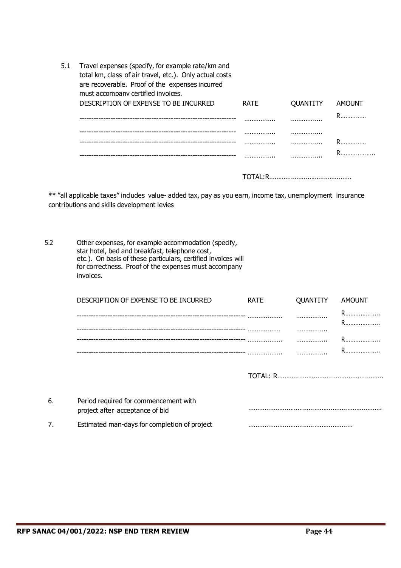| 5.1 | Travel expenses (specify, for example rate/km and<br>total km, class of air travel, etc.). Only actual costs<br>are recoverable. Proof of the expenses incurred<br>must accompany certified invoices. |             |                 |        |
|-----|-------------------------------------------------------------------------------------------------------------------------------------------------------------------------------------------------------|-------------|-----------------|--------|
|     | DESCRIPTION OF EXPENSE TO BE INCURRED                                                                                                                                                                 | <b>RATE</b> | <b>OUANTITY</b> | AMOUNT |
|     |                                                                                                                                                                                                       |             |                 | R      |
|     |                                                                                                                                                                                                       |             | .               |        |
|     |                                                                                                                                                                                                       |             |                 |        |
|     |                                                                                                                                                                                                       |             |                 |        |
|     |                                                                                                                                                                                                       |             |                 |        |

\*\* "all applicable taxes" includes value- added tax, pay as you earn, income tax, unemployment insurance contributions and skills development levies

| 5.2 | Other expenses, for example accommodation (specify,<br>star hotel, bed and breakfast, telephone cost,<br>etc.). On basis of these particulars, certified invoices will<br>for correctness. Proof of the expenses must accompany<br>invoices. |             |          |               |
|-----|----------------------------------------------------------------------------------------------------------------------------------------------------------------------------------------------------------------------------------------------|-------------|----------|---------------|
|     | DESCRIPTION OF EXPENSE TO BE INCURRED                                                                                                                                                                                                        | <b>RATE</b> | QUANTITY | <b>AMOUNT</b> |
|     |                                                                                                                                                                                                                                              |             |          | R             |
|     |                                                                                                                                                                                                                                              |             |          |               |
|     |                                                                                                                                                                                                                                              |             |          | R             |
|     |                                                                                                                                                                                                                                              |             |          |               |
|     |                                                                                                                                                                                                                                              |             |          |               |
| 6.  | Period required for commencement with<br>project after acceptance of bid                                                                                                                                                                     |             |          |               |
| 7.  | Estimated man-days for completion of project                                                                                                                                                                                                 |             |          |               |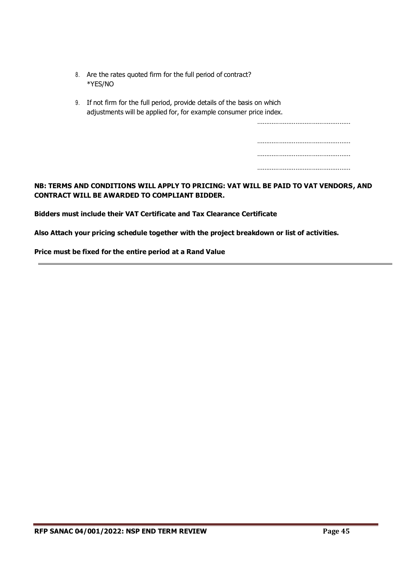- 8. Are the rates quoted firm for the full period of contract? \*YES/NO
- 9. If not firm for the full period, provide details of the basis on which adjustments will be applied for, for example consumer price index.

……………………………………………

# **NB: TERMS AND CONDITIONS WILL APPLY TO PRICING: VAT WILL BE PAID TO VAT VENDORS, AND CONTRACT WILL BE AWARDED TO COMPLIANT BIDDER.**

**Bidders must include their VAT Certificate and Tax Clearance Certificate**

**Also Attach your pricing schedule together with the project breakdown or list of activities.**

**Price must be fixed for the entire period at a Rand Value**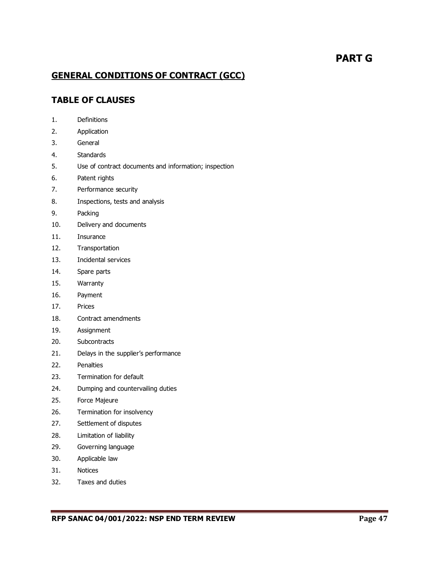# **PART G**

# **GENERAL CONDITIONS OF CONTRACT (GCC)**

# **TABLE OF CLAUSES**

- 1. Definitions
- 2. Application
- 3. General
- 4. Standards
- 5. Use of contract documents and information; inspection
- 6. Patent rights
- 7. Performance security
- 8. Inspections, tests and analysis
- 9. Packing
- 10. Delivery and documents
- 11. Insurance
- 12. Transportation
- 13. Incidental services
- 14. Spare parts
- 15. Warranty
- 16. Payment
- 17. Prices
- 18. Contract amendments
- 19. Assignment
- 20. Subcontracts
- 21. Delays in the supplier's performance
- 22. Penalties
- 23. Termination for default
- 24. Dumping and countervailing duties
- 25. Force Majeure
- 26. Termination for insolvency
- 27. Settlement of disputes
- 28. Limitation of liability
- 29. Governing language
- 30. Applicable law
- 31. Notices
- 32. Taxes and duties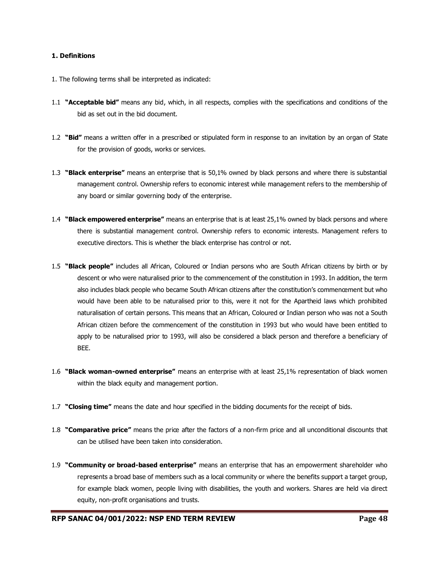#### **1. Definitions**

- 1. The following terms shall be interpreted as indicated:
- 1.1 **"Acceptable bid"** means any bid, which, in all respects, complies with the specifications and conditions of the bid as set out in the bid document.
- 1.2 **"Bid"** means a written offer in a prescribed or stipulated form in response to an invitation by an organ of State for the provision of goods, works or services.
- 1.3 **"Black enterprise"** means an enterprise that is 50,1% owned by black persons and where there is substantial management control. Ownership refers to economic interest while management refers to the membership of any board or similar governing body of the enterprise.
- 1.4 **"Black empowered enterprise"** means an enterprise that is at least 25,1% owned by black persons and where there is substantial management control. Ownership refers to economic interests. Management refers to executive directors. This is whether the black enterprise has control or not.
- 1.5 **"Black people"** includes all African, Coloured or Indian persons who are South African citizens by birth or by descent or who were naturalised prior to the commencement of the constitution in 1993. In addition, the term also includes black people who became South African citizens after the constitution's commencement but who would have been able to be naturalised prior to this, were it not for the Apartheid laws which prohibited naturalisation of certain persons. This means that an African, Coloured or Indian person who was not a South African citizen before the commencement of the constitution in 1993 but who would have been entitled to apply to be naturalised prior to 1993, will also be considered a black person and therefore a beneficiary of BEE.
- 1.6 **"Black woman-owned enterprise"** means an enterprise with at least 25,1% representation of black women within the black equity and management portion.
- 1.7 **"Closing time"** means the date and hour specified in the bidding documents for the receipt of bids.
- 1.8 **"Comparative price"** means the price after the factors of a non-firm price and all unconditional discounts that can be utilised have been taken into consideration.
- 1.9 **"Community or broad-based enterprise"** means an enterprise that has an empowerment shareholder who represents a broad base of members such as a local community or where the benefits support a target group, for example black women, people living with disabilities, the youth and workers. Shares are held via direct equity, non-profit organisations and trusts.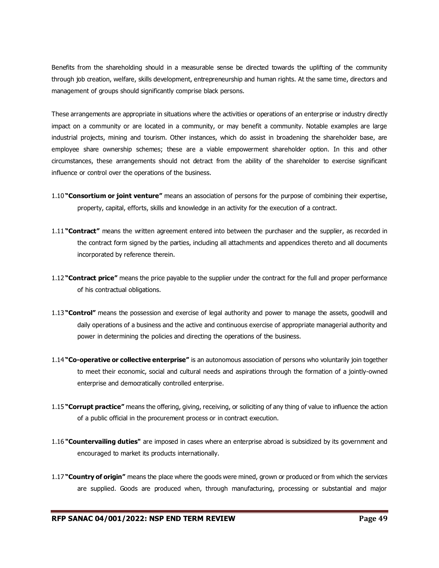Benefits from the shareholding should in a measurable sense be directed towards the uplifting of the community through job creation, welfare, skills development, entrepreneurship and human rights. At the same time, directors and management of groups should significantly comprise black persons.

These arrangements are appropriate in situations where the activities or operations of an enterprise or industry directly impact on a community or are located in a community, or may benefit a community. Notable examples are large industrial projects, mining and tourism. Other instances, which do assist in broadening the shareholder base, are employee share ownership schemes; these are a viable empowerment shareholder option. In this and other circumstances, these arrangements should not detract from the ability of the shareholder to exercise significant influence or control over the operations of the business.

- 1.10 **"Consortium or joint venture"** means an association of persons for the purpose of combining their expertise, property, capital, efforts, skills and knowledge in an activity for the execution of a contract.
- 1.11 **"Contract"** means the written agreement entered into between the purchaser and the supplier, as recorded in the contract form signed by the parties, including all attachments and appendices thereto and all documents incorporated by reference therein.
- 1.12 **"Contract price"** means the price payable to the supplier under the contract for the full and proper performance of his contractual obligations.
- 1.13 **"Control"** means the possession and exercise of legal authority and power to manage the assets, goodwill and daily operations of a business and the active and continuous exercise of appropriate managerial authority and power in determining the policies and directing the operations of the business.
- 1.14 **"Co-operative or collective enterprise"** is an autonomous association of persons who voluntarily join together to meet their economic, social and cultural needs and aspirations through the formation of a jointly-owned enterprise and democratically controlled enterprise.
- 1.15 **"Corrupt practice"** means the offering, giving, receiving, or soliciting of any thing of value to influence the action of a public official in the procurement process or in contract execution.
- 1.16 **"Countervailing duties"** are imposed in cases where an enterprise abroad is subsidized by its government and encouraged to market its products internationally.
- 1.17 **"Country of origin"** means the place where the goods were mined, grown or produced or from which the services are supplied. Goods are produced when, through manufacturing, processing or substantial and major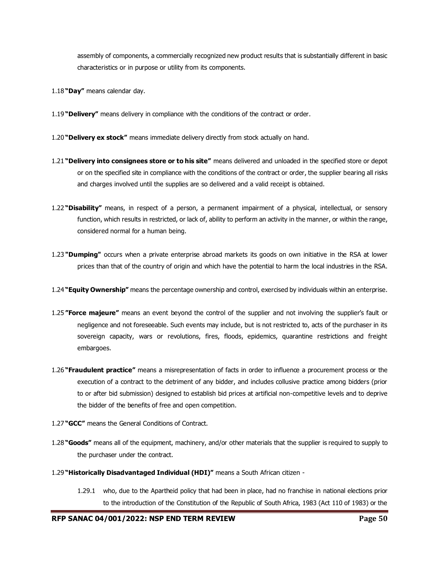assembly of components, a commercially recognized new product results that is substantially different in basic characteristics or in purpose or utility from its components.

- 1.18 **"Day"** means calendar day.
- 1.19 **"Delivery"** means delivery in compliance with the conditions of the contract or order.
- 1.20 **"Delivery ex stock"** means immediate delivery directly from stock actually on hand.
- 1.21 **"Delivery into consignees store or to his site"** means delivered and unloaded in the specified store or depot or on the specified site in compliance with the conditions of the contract or order, the supplier bearing all risks and charges involved until the supplies are so delivered and a valid receipt is obtained.
- 1.22 **"Disability"** means, in respect of a person, a permanent impairment of a physical, intellectual, or sensory function, which results in restricted, or lack of, ability to perform an activity in the manner, or within the range, considered normal for a human being.
- 1.23 **"Dumping"** occurs when a private enterprise abroad markets its goods on own initiative in the RSA at lower prices than that of the country of origin and which have the potential to harm the local industries in the RSA.
- 1.24 **"Equity Ownership"** means the percentage ownership and control, exercised by individuals within an enterprise.
- 1.25 **"Force majeure"** means an event beyond the control of the supplier and not involving the supplier's fault or negligence and not foreseeable. Such events may include, but is not restricted to, acts of the purchaser in its sovereign capacity, wars or revolutions, fires, floods, epidemics, quarantine restrictions and freight embargoes.
- 1.26 **"Fraudulent practice"** means a misrepresentation of facts in order to influence a procurement process or the execution of a contract to the detriment of any bidder, and includes collusive practice among bidders (prior to or after bid submission) designed to establish bid prices at artificial non-competitive levels and to deprive the bidder of the benefits of free and open competition.
- 1.27 **"GCC"** means the General Conditions of Contract.
- 1.28 **"Goods"** means all of the equipment, machinery, and/or other materials that the supplier is required to supply to the purchaser under the contract.
- 1.29 **"Historically Disadvantaged Individual (HDI)"** means a South African citizen
	- 1.29.1 who, due to the Apartheid policy that had been in place, had no franchise in national elections prior to the introduction of the Constitution of the Republic of South Africa, 1983 (Act 110 of 1983) or the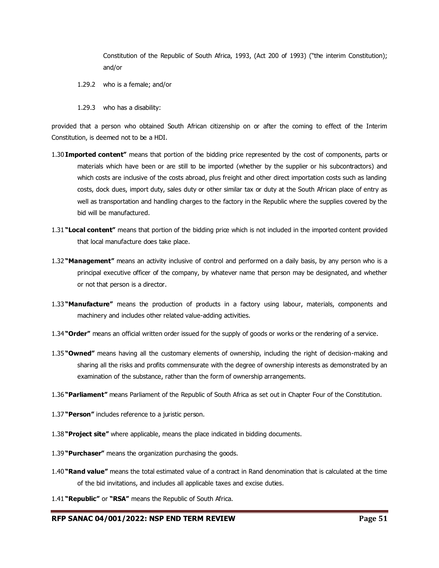Constitution of the Republic of South Africa, 1993, (Act 200 of 1993) ("the interim Constitution); and/or

- 1.29.2 who is a female; and/or
- 1.29.3 who has a disability:

provided that a person who obtained South African citizenship on or after the coming to effect of the Interim Constitution, is deemed not to be a HDI.

- 1.30 **Imported content"** means that portion of the bidding price represented by the cost of components, parts or materials which have been or are still to be imported (whether by the supplier or his subcontractors) and which costs are inclusive of the costs abroad, plus freight and other direct importation costs such as landing costs, dock dues, import duty, sales duty or other similar tax or duty at the South African place of entry as well as transportation and handling charges to the factory in the Republic where the supplies covered by the bid will be manufactured.
- 1.31 **"Local content"** means that portion of the bidding price which is not included in the imported content provided that local manufacture does take place.
- 1.32 **"Management"** means an activity inclusive of control and performed on a daily basis, by any person who is a principal executive officer of the company, by whatever name that person may be designated, and whether or not that person is a director.
- 1.33 **"Manufacture"** means the production of products in a factory using labour, materials, components and machinery and includes other related value-adding activities.
- 1.34 **"Order"** means an official written order issued for the supply of goods or works or the rendering of a service.
- 1.35 **"Owned"** means having all the customary elements of ownership, including the right of decision-making and sharing all the risks and profits commensurate with the degree of ownership interests as demonstrated by an examination of the substance, rather than the form of ownership arrangements.
- 1.36 **"Parliament"** means Parliament of the Republic of South Africa as set out in Chapter Four of the Constitution.
- 1.37 **"Person"** includes reference to a juristic person.
- 1.38 **"Project site"** where applicable, means the place indicated in bidding documents.
- 1.39 **"Purchaser"** means the organization purchasing the goods.
- 1.40 **"Rand value"** means the total estimated value of a contract in Rand denomination that is calculated at the time of the bid invitations, and includes all applicable taxes and excise duties.
- 1.41 **"Republic"** or **"RSA"** means the Republic of South Africa.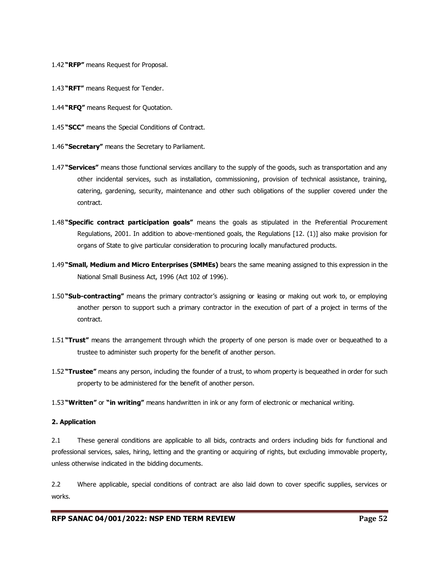- 1.42 **"RFP"** means Request for Proposal.
- 1.43 **"RFT"** means Request for Tender.
- 1.44 **"RFQ"** means Request for Quotation.
- 1.45 **"SCC"** means the Special Conditions of Contract.
- 1.46 **"Secretary"** means the Secretary to Parliament.
- 1.47 **"Services"** means those functional services ancillary to the supply of the goods, such as transportation and any other incidental services, such as installation, commissioning, provision of technical assistance, training, catering, gardening, security, maintenance and other such obligations of the supplier covered under the contract.
- 1.48 **"Specific contract participation goals"** means the goals as stipulated in the Preferential Procurement Regulations, 2001. In addition to above-mentioned goals, the Regulations [12. (1)] also make provision for organs of State to give particular consideration to procuring locally manufactured products.
- 1.49 **"Small, Medium and Micro Enterprises (SMMEs)** bears the same meaning assigned to this expression in the National Small Business Act, 1996 (Act 102 of 1996).
- 1.50 **"Sub-contracting"** means the primary contractor's assigning or leasing or making out work to, or employing another person to support such a primary contractor in the execution of part of a project in terms of the contract.
- 1.51 **"Trust"** means the arrangement through which the property of one person is made over or bequeathed to a trustee to administer such property for the benefit of another person.
- 1.52 **"Trustee"** means any person, including the founder of a trust, to whom property is bequeathed in order for such property to be administered for the benefit of another person.
- 1.53 **"Written"** or **"in writing"** means handwritten in ink or any form of electronic or mechanical writing.

#### **2. Application**

2.1 These general conditions are applicable to all bids, contracts and orders including bids for functional and professional services, sales, hiring, letting and the granting or acquiring of rights, but excluding immovable property, unless otherwise indicated in the bidding documents.

2.2 Where applicable, special conditions of contract are also laid down to cover specific supplies, services or works.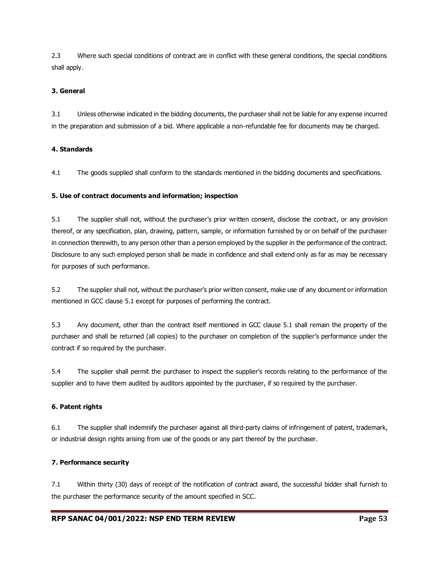2.3 Where such special conditions of contract are in conflict with these general conditions, the special conditions shall apply.

#### **3. General**

3.1 Unless otherwise indicated in the bidding documents, the purchaser shall not be liable for any expense incurred in the preparation and submission of a bid. Where applicable a non-refundable fee for documents may be charged.

#### **4. Standards**

4.1 The goods supplied shall conform to the standards mentioned in the bidding documents and specifications.

#### **5. Use of contract documents and information; inspection**

5.1 The supplier shall not, without the purchaser's prior written consent, disclose the contract, or any provision thereof, or any specification, plan, drawing, pattern, sample, or information furnished by or on behalf of the purchaser in connection therewith, to any person other than a person employed by the supplier in the performance of the contract. Disclosure to any such employed person shall be made in confidence and shall extend only as far as may be necessary for purposes of such performance.

5.2 The supplier shall not, without the purchaser's prior written consent, make use of any document or information mentioned in GCC clause 5.1 except for purposes of performing the contract.

5.3 Any document, other than the contract itself mentioned in GCC clause 5.1 shall remain the property of the purchaser and shall be returned (all copies) to the purchaser on completion of the supplier's performance under the contract if so required by the purchaser.

5.4 The supplier shall permit the purchaser to inspect the supplier's records relating to the performance of the supplier and to have them audited by auditors appointed by the purchaser, if so required by the purchaser.

#### **6. Patent rights**

6.1 The supplier shall indemnify the purchaser against all third-party claims of infringement of patent, trademark, or industrial design rights arising from use of the goods or any part thereof by the purchaser.

#### **7. Performance security**

7.1 Within thirty (30) days of receipt of the notification of contract award, the successful bidder shall furnish to the purchaser the performance security of the amount specified in SCC.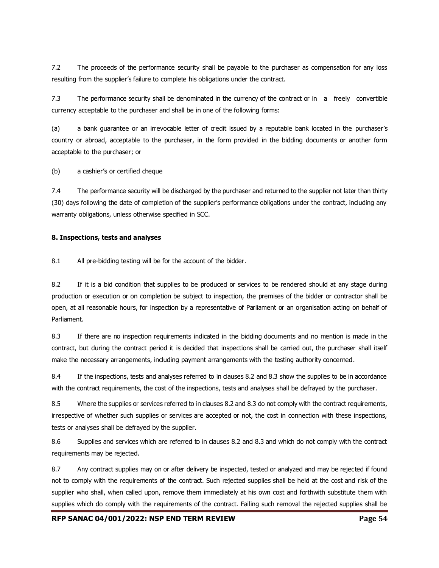7.2 The proceeds of the performance security shall be payable to the purchaser as compensation for any loss resulting from the supplier's failure to complete his obligations under the contract.

7.3 The performance security shall be denominated in the currency of the contract or in a freely convertible currency acceptable to the purchaser and shall be in one of the following forms:

(a) a bank guarantee or an irrevocable letter of credit issued by a reputable bank located in the purchaser's country or abroad, acceptable to the purchaser, in the form provided in the bidding documents or another form acceptable to the purchaser; or

(b) a cashier's or certified cheque

7.4 The performance security will be discharged by the purchaser and returned to the supplier not later than thirty (30) days following the date of completion of the supplier's performance obligations under the contract, including any warranty obligations, unless otherwise specified in SCC.

#### **8. Inspections, tests and analyses**

8.1 All pre-bidding testing will be for the account of the bidder.

8.2 If it is a bid condition that supplies to be produced or services to be rendered should at any stage during production or execution or on completion be subject to inspection, the premises of the bidder or contractor shall be open, at all reasonable hours, for inspection by a representative of Parliament or an organisation acting on behalf of Parliament.

8.3 If there are no inspection requirements indicated in the bidding documents and no mention is made in the contract, but during the contract period it is decided that inspections shall be carried out, the purchaser shall itself make the necessary arrangements, including payment arrangements with the testing authority concerned.

8.4 If the inspections, tests and analyses referred to in clauses 8.2 and 8.3 show the supplies to be in accordance with the contract requirements, the cost of the inspections, tests and analyses shall be defrayed by the purchaser.

8.5 Where the supplies or services referred to in clauses 8.2 and 8.3 do not comply with the contract requirements, irrespective of whether such supplies or services are accepted or not, the cost in connection with these inspections, tests or analyses shall be defrayed by the supplier.

8.6 Supplies and services which are referred to in clauses 8.2 and 8.3 and which do not comply with the contract requirements may be rejected.

8.7 Any contract supplies may on or after delivery be inspected, tested or analyzed and may be rejected if found not to comply with the requirements of the contract. Such rejected supplies shall be held at the cost and risk of the supplier who shall, when called upon, remove them immediately at his own cost and forthwith substitute them with supplies which do comply with the requirements of the contract. Failing such removal the rejected supplies shall be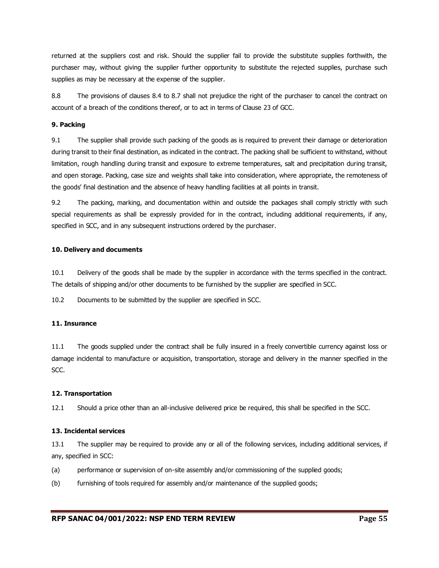returned at the suppliers cost and risk. Should the supplier fail to provide the substitute supplies forthwith, the purchaser may, without giving the supplier further opportunity to substitute the rejected supplies, purchase such supplies as may be necessary at the expense of the supplier.

8.8 The provisions of clauses 8.4 to 8.7 shall not prejudice the right of the purchaser to cancel the contract on account of a breach of the conditions thereof, or to act in terms of Clause 23 of GCC.

#### **9. Packing**

9.1 The supplier shall provide such packing of the goods as is required to prevent their damage or deterioration during transit to their final destination, as indicated in the contract. The packing shall be sufficient to withstand, without limitation, rough handling during transit and exposure to extreme temperatures, salt and precipitation during transit, and open storage. Packing, case size and weights shall take into consideration, where appropriate, the remoteness of the goods' final destination and the absence of heavy handling facilities at all points in transit.

9.2 The packing, marking, and documentation within and outside the packages shall comply strictly with such special requirements as shall be expressly provided for in the contract, including additional requirements, if any, specified in SCC, and in any subsequent instructions ordered by the purchaser.

#### **10. Delivery and documents**

10.1 Delivery of the goods shall be made by the supplier in accordance with the terms specified in the contract. The details of shipping and/or other documents to be furnished by the supplier are specified in SCC.

10.2 Documents to be submitted by the supplier are specified in SCC.

#### **11. Insurance**

11.1 The goods supplied under the contract shall be fully insured in a freely convertible currency against loss or damage incidental to manufacture or acquisition, transportation, storage and delivery in the manner specified in the SCC.

#### **12. Transportation**

12.1 Should a price other than an all-inclusive delivered price be required, this shall be specified in the SCC.

#### **13. Incidental services**

13.1 The supplier may be required to provide any or all of the following services, including additional services, if any, specified in SCC:

- (a) performance or supervision of on-site assembly and/or commissioning of the supplied goods;
- (b) furnishing of tools required for assembly and/or maintenance of the supplied goods;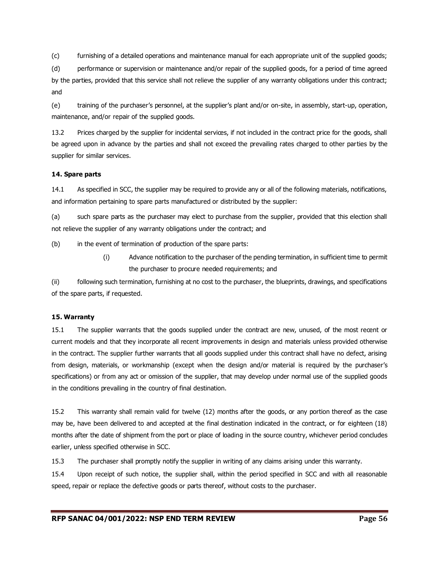(c) furnishing of a detailed operations and maintenance manual for each appropriate unit of the supplied goods;

(d) performance or supervision or maintenance and/or repair of the supplied goods, for a period of time agreed by the parties, provided that this service shall not relieve the supplier of any warranty obligations under this contract; and

(e) training of the purchaser's personnel, at the supplier's plant and/or on-site, in assembly, start-up, operation, maintenance, and/or repair of the supplied goods.

13.2 Prices charged by the supplier for incidental services, if not included in the contract price for the goods, shall be agreed upon in advance by the parties and shall not exceed the prevailing rates charged to other parties by the supplier for similar services.

#### **14. Spare parts**

14.1 As specified in SCC, the supplier may be required to provide any or all of the following materials, notifications, and information pertaining to spare parts manufactured or distributed by the supplier:

(a) such spare parts as the purchaser may elect to purchase from the supplier, provided that this election shall not relieve the supplier of any warranty obligations under the contract; and

(b) in the event of termination of production of the spare parts:

(i) Advance notification to the purchaser of the pending termination, in sufficient time to permit the purchaser to procure needed requirements; and

(ii) following such termination, furnishing at no cost to the purchaser, the blueprints, drawings, and specifications of the spare parts, if requested.

#### **15. Warranty**

15.1 The supplier warrants that the goods supplied under the contract are new, unused, of the most recent or current models and that they incorporate all recent improvements in design and materials unless provided otherwise in the contract. The supplier further warrants that all goods supplied under this contract shall have no defect, arising from design, materials, or workmanship (except when the design and/or material is required by the purchaser's specifications) or from any act or omission of the supplier, that may develop under normal use of the supplied goods in the conditions prevailing in the country of final destination.

15.2 This warranty shall remain valid for twelve (12) months after the goods, or any portion thereof as the case may be, have been delivered to and accepted at the final destination indicated in the contract, or for eighteen (18) months after the date of shipment from the port or place of loading in the source country, whichever period concludes earlier, unless specified otherwise in SCC.

15.3 The purchaser shall promptly notify the supplier in writing of any claims arising under this warranty.

15.4 Upon receipt of such notice, the supplier shall, within the period specified in SCC and with all reasonable speed, repair or replace the defective goods or parts thereof, without costs to the purchaser.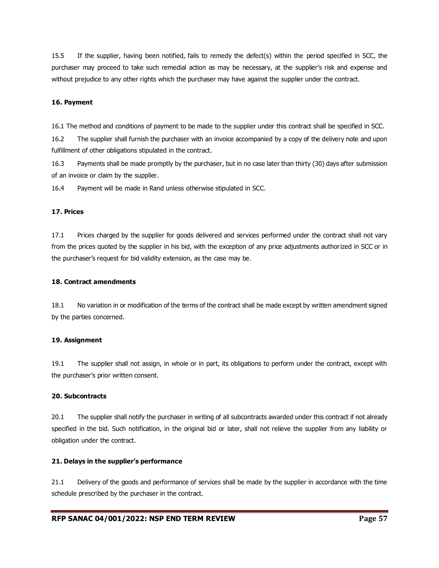15.5 If the supplier, having been notified, fails to remedy the defect(s) within the period specified in SCC, the purchaser may proceed to take such remedial action as may be necessary, at the supplier's risk and expense and without prejudice to any other rights which the purchaser may have against the supplier under the contract.

#### **16. Payment**

16.1 The method and conditions of payment to be made to the supplier under this contract shall be specified in SCC.

16.2 The supplier shall furnish the purchaser with an invoice accompanied by a copy of the delivery note and upon fulfillment of other obligations stipulated in the contract.

16.3 Payments shall be made promptly by the purchaser, but in no case later than thirty (30) days after submission of an invoice or claim by the supplier.

16.4 Payment will be made in Rand unless otherwise stipulated in SCC.

#### **17. Prices**

17.1 Prices charged by the supplier for goods delivered and services performed under the contract shall not vary from the prices quoted by the supplier in his bid, with the exception of any price adjustments authorized in SCC or in the purchaser's request for bid validity extension, as the case may be.

#### **18. Contract amendments**

18.1 No variation in or modification of the terms of the contract shall be made except by written amendment signed by the parties concerned.

#### **19. Assignment**

19.1 The supplier shall not assign, in whole or in part, its obligations to perform under the contract, except with the purchaser's prior written consent.

#### **20. Subcontracts**

20.1 The supplier shall notify the purchaser in writing of all subcontracts awarded under this contract if not already specified in the bid. Such notification, in the original bid or later, shall not relieve the supplier from any liability or obligation under the contract.

#### **21. Delays in the supplier's performance**

21.1 Delivery of the goods and performance of services shall be made by the supplier in accordance with the time schedule prescribed by the purchaser in the contract.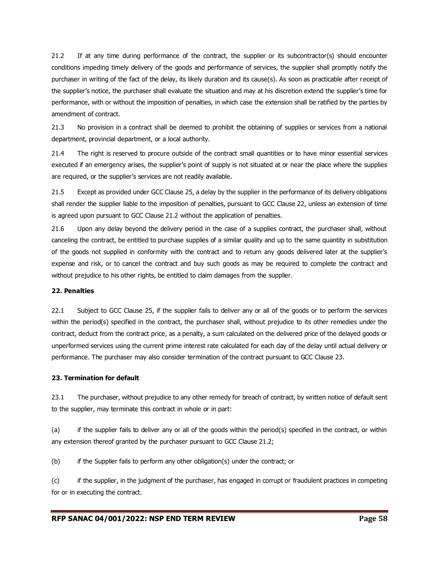21.2 If at any time during performance of the contract, the supplier or its subcontractor(s) should encounter conditions impeding timely delivery of the goods and performance of services, the supplier shall promptly notify the purchaser in writing of the fact of the delay, its likely duration and its cause(s). As soon as practicable after receipt of the supplier's notice, the purchaser shall evaluate the situation and may at his discretion extend the supplier's time for performance, with or without the imposition of penalties, in which case the extension shall be ratified by the parties by amendment of contract.

21.3 No provision in a contract shall be deemed to prohibit the obtaining of supplies or services from a national department, provincial department, or a local authority.

21.4 The right is reserved to procure outside of the contract small quantities or to have minor essential services executed if an emergency arises, the supplier's point of supply is not situated at or near the place where the supplies are required, or the supplier's services are not readily available.

21.5 Except as provided under GCC Clause 25, a delay by the supplier in the performance of its delivery obligations shall render the supplier liable to the imposition of penalties, pursuant to GCC Clause 22, unless an extension of time is agreed upon pursuant to GCC Clause 21.2 without the application of penalties.

21.6 Upon any delay beyond the delivery period in the case of a supplies contract, the purchaser shall, without canceling the contract, be entitled to purchase supplies of a similar quality and up to the same quantity in substitution of the goods not supplied in conformity with the contract and to return any goods delivered later at the supplier's expense and risk, or to cancel the contract and buy such goods as may be required to complete the contract and without prejudice to his other rights, be entitled to claim damages from the supplier.

#### **22. Penalties**

22.1 Subject to GCC Clause 25, if the supplier fails to deliver any or all of the goods or to perform the services within the period(s) specified in the contract, the purchaser shall, without prejudice to its other remedies under the contract, deduct from the contract price, as a penalty, a sum calculated on the delivered price of the delayed goods or unperformed services using the current prime interest rate calculated for each day of the delay until actual delivery or performance. The purchaser may also consider termination of the contract pursuant to GCC Clause 23.

#### **23. Termination for default**

23.1 The purchaser, without prejudice to any other remedy for breach of contract, by written notice of default sent to the supplier, may terminate this contract in whole or in part:

(a) if the supplier fails to deliver any or all of the goods within the period(s) specified in the contract, or within any extension thereof granted by the purchaser pursuant to GCC Clause 21.2;

(b) if the Supplier fails to perform any other obligation(s) under the contract; or

(c) if the supplier, in the judgment of the purchaser, has engaged in corrupt or fraudulent practices in competing for or in executing the contract.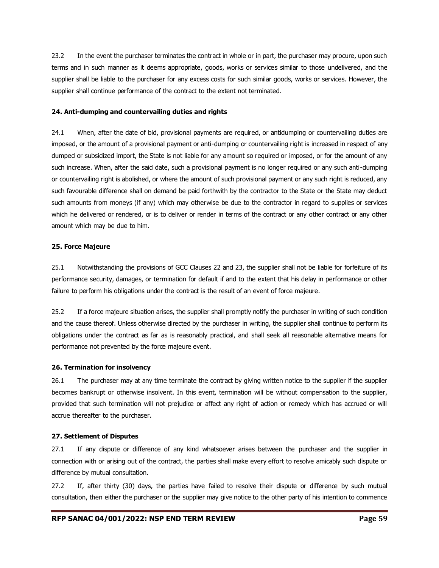23.2 In the event the purchaser terminates the contract in whole or in part, the purchaser may procure, upon such terms and in such manner as it deems appropriate, goods, works or services similar to those undelivered, and the supplier shall be liable to the purchaser for any excess costs for such similar goods, works or services. However, the supplier shall continue performance of the contract to the extent not terminated.

#### **24. Anti-dumping and countervailing duties and rights**

24.1 When, after the date of bid, provisional payments are required, or antidumping or countervailing duties are imposed, or the amount of a provisional payment or anti-dumping or countervailing right is increased in respect of any dumped or subsidized import, the State is not liable for any amount so required or imposed, or for the amount of any such increase. When, after the said date, such a provisional payment is no longer required or any such anti-dumping or countervailing right is abolished, or where the amount of such provisional payment or any such right is reduced, any such favourable difference shall on demand be paid forthwith by the contractor to the State or the State may deduct such amounts from moneys (if any) which may otherwise be due to the contractor in regard to supplies or services which he delivered or rendered, or is to deliver or render in terms of the contract or any other contract or any other amount which may be due to him.

#### **25. Force Majeure**

25.1 Notwithstanding the provisions of GCC Clauses 22 and 23, the supplier shall not be liable for forfeiture of its performance security, damages, or termination for default if and to the extent that his delay in performance or other failure to perform his obligations under the contract is the result of an event of force majeure.

25.2 If a force majeure situation arises, the supplier shall promptly notify the purchaser in writing of such condition and the cause thereof. Unless otherwise directed by the purchaser in writing, the supplier shall continue to perform its obligations under the contract as far as is reasonably practical, and shall seek all reasonable alternative means for performance not prevented by the force majeure event.

#### **26. Termination for insolvency**

26.1 The purchaser may at any time terminate the contract by giving written notice to the supplier if the supplier becomes bankrupt or otherwise insolvent. In this event, termination will be without compensation to the supplier, provided that such termination will not prejudice or affect any right of action or remedy which has accrued or will accrue thereafter to the purchaser.

#### **27. Settlement of Disputes**

27.1 If any dispute or difference of any kind whatsoever arises between the purchaser and the supplier in connection with or arising out of the contract, the parties shall make every effort to resolve amicably such dispute or difference by mutual consultation.

27.2 If, after thirty (30) days, the parties have failed to resolve their dispute or difference by such mutual consultation, then either the purchaser or the supplier may give notice to the other party of his intention to commence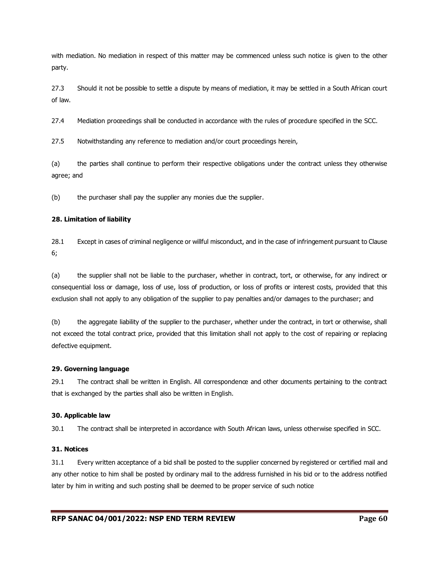with mediation. No mediation in respect of this matter may be commenced unless such notice is given to the other party.

27.3 Should it not be possible to settle a dispute by means of mediation, it may be settled in a South African court of law.

27.4 Mediation proceedings shall be conducted in accordance with the rules of procedure specified in the SCC.

27.5 Notwithstanding any reference to mediation and/or court proceedings herein,

(a) the parties shall continue to perform their respective obligations under the contract unless they otherwise agree; and

(b) the purchaser shall pay the supplier any monies due the supplier.

#### **28. Limitation of liability**

28.1 Except in cases of criminal negligence or willful misconduct, and in the case of infringement pursuant to Clause 6;

(a) the supplier shall not be liable to the purchaser, whether in contract, tort, or otherwise, for any indirect or consequential loss or damage, loss of use, loss of production, or loss of profits or interest costs, provided that this exclusion shall not apply to any obligation of the supplier to pay penalties and/or damages to the purchaser; and

(b) the aggregate liability of the supplier to the purchaser, whether under the contract, in tort or otherwise, shall not exceed the total contract price, provided that this limitation shall not apply to the cost of repairing or replacing defective equipment.

#### **29. Governing language**

29.1 The contract shall be written in English. All correspondence and other documents pertaining to the contract that is exchanged by the parties shall also be written in English.

#### **30. Applicable law**

30.1 The contract shall be interpreted in accordance with South African laws, unless otherwise specified in SCC.

#### **31. Notices**

31.1 Every written acceptance of a bid shall be posted to the supplier concerned by registered or certified mail and any other notice to him shall be posted by ordinary mail to the address furnished in his bid or to the address notified later by him in writing and such posting shall be deemed to be proper service of such notice